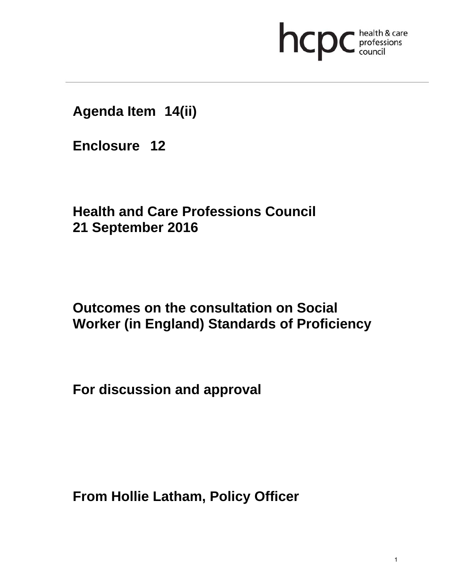

**Agenda Item 14(ii)** 

**Enclosure 12**

**Health and Care Professions Council 21 September 2016**

# **Outcomes on the consultation on Social Worker (in England) Standards of Proficiency**

**For discussion and approval** 

**From Hollie Latham, Policy Officer**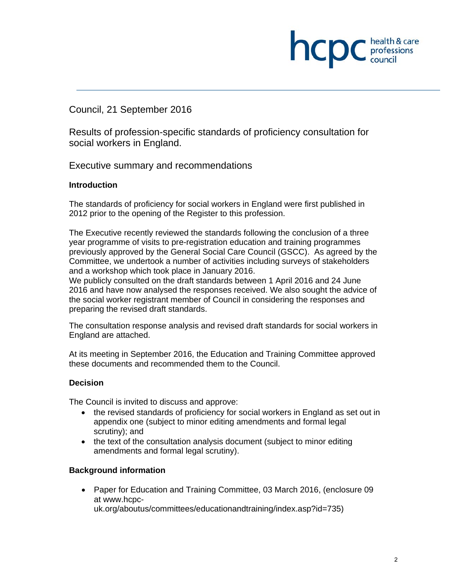

Council, 21 September 2016

Results of profession-specific standards of proficiency consultation for social workers in England.

Executive summary and recommendations

#### **Introduction**

The standards of proficiency for social workers in England were first published in 2012 prior to the opening of the Register to this profession.

The Executive recently reviewed the standards following the conclusion of a three year programme of visits to pre-registration education and training programmes previously approved by the General Social Care Council (GSCC). As agreed by the Committee, we undertook a number of activities including surveys of stakeholders and a workshop which took place in January 2016.

We publicly consulted on the draft standards between 1 April 2016 and 24 June 2016 and have now analysed the responses received. We also sought the advice of the social worker registrant member of Council in considering the responses and preparing the revised draft standards.

The consultation response analysis and revised draft standards for social workers in England are attached.

At its meeting in September 2016, the Education and Training Committee approved these documents and recommended them to the Council.

#### **Decision**

The Council is invited to discuss and approve:

- the revised standards of proficiency for social workers in England as set out in appendix one (subject to minor editing amendments and formal legal scrutiny); and
- the text of the consultation analysis document (subject to minor editing amendments and formal legal scrutiny).

#### **Background information**

 Paper for Education and Training Committee, 03 March 2016, (enclosure 09 at www.hcpcuk.org/aboutus/committees/educationandtraining/index.asp?id=735)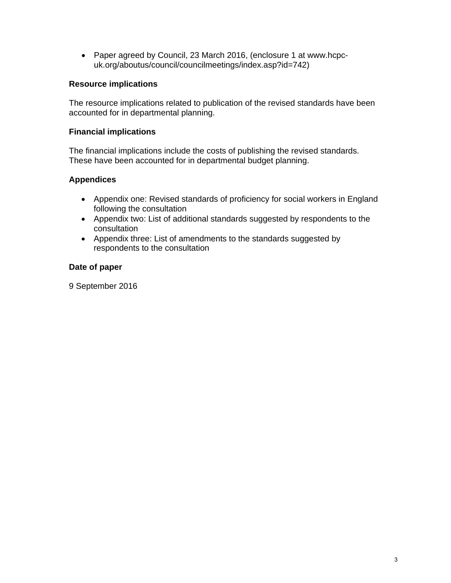• Paper agreed by Council, 23 March 2016, (enclosure 1 at www.hcpcuk.org/aboutus/council/councilmeetings/index.asp?id=742)

#### **Resource implications**

The resource implications related to publication of the revised standards have been accounted for in departmental planning.

#### **Financial implications**

The financial implications include the costs of publishing the revised standards. These have been accounted for in departmental budget planning.

#### **Appendices**

- Appendix one: Revised standards of proficiency for social workers in England following the consultation
- Appendix two: List of additional standards suggested by respondents to the consultation
- Appendix three: List of amendments to the standards suggested by respondents to the consultation

#### **Date of paper**

9 September 2016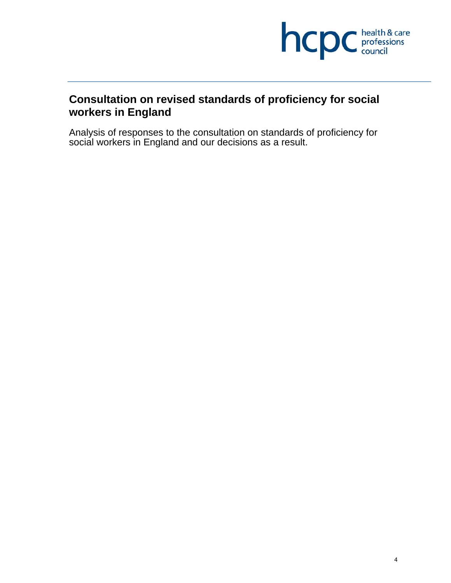

## **Consultation on revised standards of proficiency for social workers in England**

Analysis of responses to the consultation on standards of proficiency for social workers in England and our decisions as a result.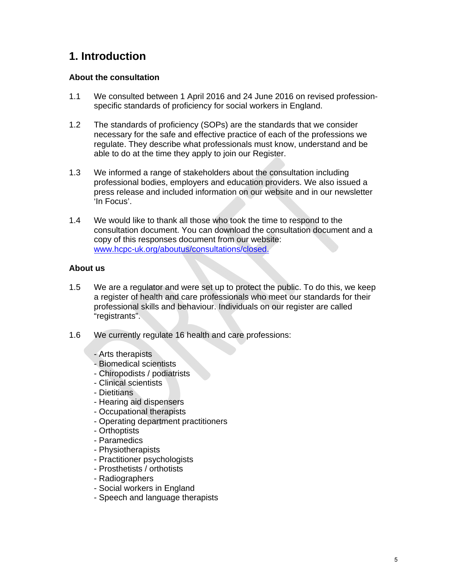## **1. Introduction**

#### **About the consultation**

- 1.1 We consulted between 1 April 2016 and 24 June 2016 on revised professionspecific standards of proficiency for social workers in England.
- 1.2 The standards of proficiency (SOPs) are the standards that we consider necessary for the safe and effective practice of each of the professions we regulate. They describe what professionals must know, understand and be able to do at the time they apply to join our Register.
- 1.3 We informed a range of stakeholders about the consultation including professional bodies, employers and education providers. We also issued a press release and included information on our website and in our newsletter 'In Focus'.
- 1.4 We would like to thank all those who took the time to respond to the consultation document. You can download the consultation document and a copy of this responses document from our website: www.hcpc-uk.org/aboutus/consultations/closed.

#### **About us**

- 1.5 We are a regulator and were set up to protect the public. To do this, we keep a register of health and care professionals who meet our standards for their professional skills and behaviour. Individuals on our register are called "registrants".
- 1.6 We currently regulate 16 health and care professions:
	- Arts therapists
	- Biomedical scientists
	- Chiropodists / podiatrists
	- Clinical scientists
	- Dietitians
	- Hearing aid dispensers
	- Occupational therapists
	- Operating department practitioners
	- Orthoptists
	- Paramedics
	- Physiotherapists
	- Practitioner psychologists
	- Prosthetists / orthotists
	- Radiographers
	- Social workers in England
	- Speech and language therapists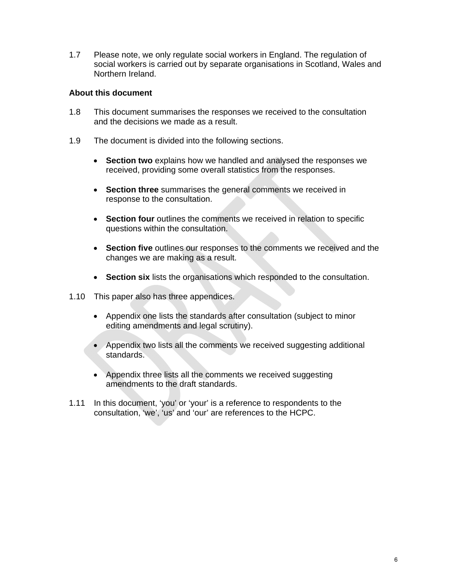1.7 Please note, we only regulate social workers in England. The regulation of social workers is carried out by separate organisations in Scotland, Wales and Northern Ireland.

#### **About this document**

- 1.8 This document summarises the responses we received to the consultation and the decisions we made as a result.
- 1.9 The document is divided into the following sections.
	- **Section two** explains how we handled and analysed the responses we received, providing some overall statistics from the responses.
	- **Section three** summarises the general comments we received in response to the consultation.
	- **Section four** outlines the comments we received in relation to specific questions within the consultation.
	- **Section five** outlines our responses to the comments we received and the changes we are making as a result.
	- **Section six** lists the organisations which responded to the consultation.
- 1.10 This paper also has three appendices.
	- Appendix one lists the standards after consultation (subject to minor editing amendments and legal scrutiny).
	- Appendix two lists all the comments we received suggesting additional standards.
	- Appendix three lists all the comments we received suggesting amendments to the draft standards.
- 1.11 In this document, 'you' or 'your' is a reference to respondents to the consultation, 'we', 'us' and 'our' are references to the HCPC.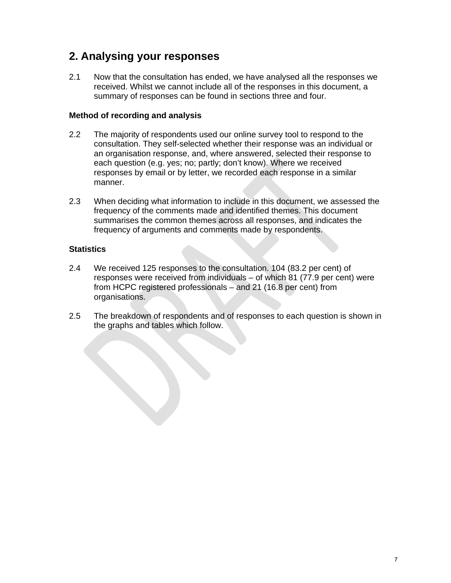## **2. Analysing your responses**

2.1 Now that the consultation has ended, we have analysed all the responses we received. Whilst we cannot include all of the responses in this document, a summary of responses can be found in sections three and four.

#### **Method of recording and analysis**

- 2.2 The majority of respondents used our online survey tool to respond to the consultation. They self-selected whether their response was an individual or an organisation response, and, where answered, selected their response to each question (e.g. yes; no; partly; don't know). Where we received responses by email or by letter, we recorded each response in a similar manner.
- 2.3 When deciding what information to include in this document, we assessed the frequency of the comments made and identified themes. This document summarises the common themes across all responses, and indicates the frequency of arguments and comments made by respondents.

#### **Statistics**

- 2.4 We received 125 responses to the consultation. 104 (83.2 per cent) of responses were received from individuals – of which 81 (77.9 per cent) were from HCPC registered professionals – and 21 (16.8 per cent) from organisations.
- 2.5 The breakdown of respondents and of responses to each question is shown in the graphs and tables which follow.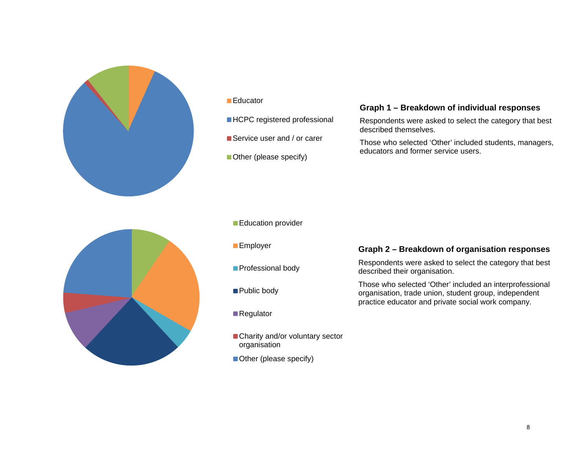

#### ■Educator

- **HCPC** registered professional
- Service user and / or carer
- Other (please specify)

#### **Graph 1 – Breakdown of individual responses**

- Respondents were asked to select the category that best described themselves.
- Those who selected 'Other' included students, managers, educators and former service users.



- **Employer**
- **Professional body**
- ■Public body
- ■Regulator
- Charity and/or voluntary sector organisation
- Other (please specify)

#### **Graph 2 – Breakdown of organisation responses**

Respondents were asked to select the category that best described their organisation.

Those who selected 'Other' included an interprofessional organisation, trade union, student group, independent practice educator and private social work company.

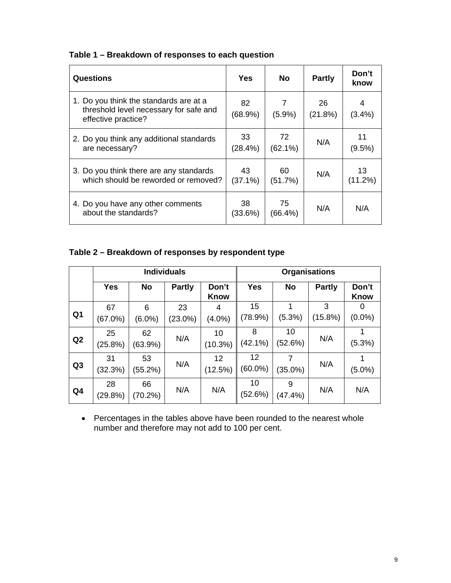#### **Table 1 – Breakdown of responses to each question**

| <b>Questions</b>                                                                                        | Yes              | No               | <b>Partly</b> | Don't<br>know   |
|---------------------------------------------------------------------------------------------------------|------------------|------------------|---------------|-----------------|
| 1. Do you think the standards are at a<br>threshold level necessary for safe and<br>effective practice? | 82<br>$(68.9\%)$ | 7<br>(5.9%)      | 26<br>(21.8%) | 4<br>(3.4%)     |
| 2. Do you think any additional standards<br>are necessary?                                              | 33<br>(28.4%)    | 72<br>$(62.1\%)$ | N/A           | 11<br>$(9.5\%)$ |
| 3. Do you think there are any standards<br>which should be reworded or removed?                         | 43<br>$(37.1\%)$ | 60<br>(51.7%)    | N/A           | 13<br>(11.2%)   |
| 4. Do you have any other comments<br>about the standards?                                               | 38<br>(33.6%)    | 75<br>(66.4%)    | N/A           | N/A             |

#### **Table 2 – Breakdown of responses by respondent type**

|                |                  |                  | <b>Individuals</b> |                      | <b>Organisations</b>            |               |               |                      |
|----------------|------------------|------------------|--------------------|----------------------|---------------------------------|---------------|---------------|----------------------|
|                | <b>Yes</b>       | <b>No</b>        | <b>Partly</b>      | Don't<br><b>Know</b> | <b>Yes</b>                      | <b>No</b>     | <b>Partly</b> | Don't<br><b>Know</b> |
| Q <sub>1</sub> | 67<br>$(67.0\%)$ | 6<br>$(6.0\%)$   | 23<br>$(23.0\%)$   | 4<br>$(4.0\%)$       | 15<br>(78.9%)                   | $(5.3\%)$     | 3<br>(15.8%)  | 0<br>$(0.0\%)$       |
| Q2             | 25<br>(25.8%)    | 62<br>$(63.9\%)$ | N/A                | 10<br>(10.3%)        | 8<br>$(42.1\%)$                 | 10<br>(52.6%) | N/A           | (5.3%)               |
| Q <sub>3</sub> | 31<br>(32.3%)    | 53<br>(55.2%)    | N/A                | 12<br>(12.5%)        | $12 \overline{ }$<br>$(60.0\%)$ | $(35.0\%)$    | N/A           | 1<br>$(5.0\%)$       |
| Q4             | 28<br>(29.8%)    | 66<br>(70.2%)    | N/A                | N/A                  | 10<br>(52.6%)                   | 9<br>(47.4%)  | N/A           | N/A                  |

• Percentages in the tables above have been rounded to the nearest whole number and therefore may not add to 100 per cent.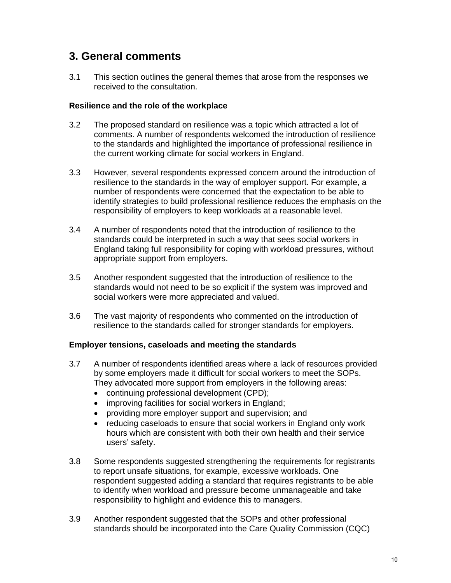### **3. General comments**

3.1 This section outlines the general themes that arose from the responses we received to the consultation.

#### **Resilience and the role of the workplace**

- 3.2 The proposed standard on resilience was a topic which attracted a lot of comments. A number of respondents welcomed the introduction of resilience to the standards and highlighted the importance of professional resilience in the current working climate for social workers in England.
- 3.3 However, several respondents expressed concern around the introduction of resilience to the standards in the way of employer support. For example, a number of respondents were concerned that the expectation to be able to identify strategies to build professional resilience reduces the emphasis on the responsibility of employers to keep workloads at a reasonable level.
- 3.4 A number of respondents noted that the introduction of resilience to the standards could be interpreted in such a way that sees social workers in England taking full responsibility for coping with workload pressures, without appropriate support from employers.
- 3.5 Another respondent suggested that the introduction of resilience to the standards would not need to be so explicit if the system was improved and social workers were more appreciated and valued.
- 3.6 The vast majority of respondents who commented on the introduction of resilience to the standards called for stronger standards for employers.

#### **Employer tensions, caseloads and meeting the standards**

- 3.7 A number of respondents identified areas where a lack of resources provided by some employers made it difficult for social workers to meet the SOPs. They advocated more support from employers in the following areas:
	- continuing professional development (CPD);
	- improving facilities for social workers in England;
	- providing more employer support and supervision; and
	- reducing caseloads to ensure that social workers in England only work hours which are consistent with both their own health and their service users' safety.
- 3.8 Some respondents suggested strengthening the requirements for registrants to report unsafe situations, for example, excessive workloads. One respondent suggested adding a standard that requires registrants to be able to identify when workload and pressure become unmanageable and take responsibility to highlight and evidence this to managers.
- 3.9 Another respondent suggested that the SOPs and other professional standards should be incorporated into the Care Quality Commission (CQC)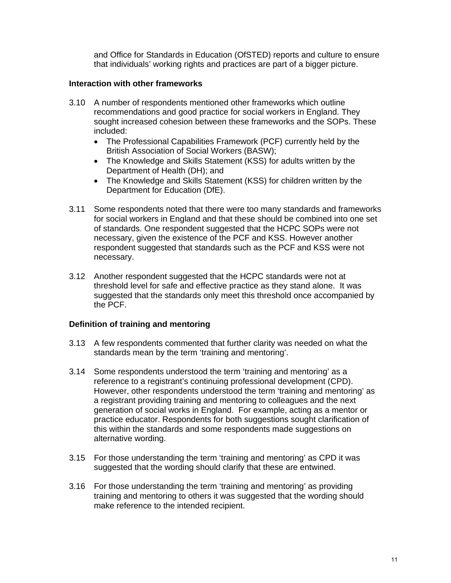and Office for Standards in Education (OfSTED) reports and culture to ensure that individuals' working rights and practices are part of a bigger picture.

#### **Interaction with other frameworks**

- 3.10 A number of respondents mentioned other frameworks which outline recommendations and good practice for social workers in England. They sought increased cohesion between these frameworks and the SOPs. These included:
	- The Professional Capabilities Framework (PCF) currently held by the British Association of Social Workers (BASW);
	- The Knowledge and Skills Statement (KSS) for adults written by the Department of Health (DH); and
	- The Knowledge and Skills Statement (KSS) for children written by the Department for Education (DfE).
- 3.11 Some respondents noted that there were too many standards and frameworks for social workers in England and that these should be combined into one set of standards. One respondent suggested that the HCPC SOPs were not necessary, given the existence of the PCF and KSS. However another respondent suggested that standards such as the PCF and KSS were not necessary.
- 3.12 Another respondent suggested that the HCPC standards were not at threshold level for safe and effective practice as they stand alone. It was suggested that the standards only meet this threshold once accompanied by the PCF.

#### **Definition of training and mentoring**

- 3.13 A few respondents commented that further clarity was needed on what the standards mean by the term 'training and mentoring'.
- 3.14 Some respondents understood the term 'training and mentoring' as a reference to a registrant's continuing professional development (CPD). However, other respondents understood the term 'training and mentoring' as a registrant providing training and mentoring to colleagues and the next generation of social works in England. For example, acting as a mentor or practice educator. Respondents for both suggestions sought clarification of this within the standards and some respondents made suggestions on alternative wording.
- 3.15 For those understanding the term 'training and mentoring' as CPD it was suggested that the wording should clarify that these are entwined.
- 3.16 For those understanding the term 'training and mentoring' as providing training and mentoring to others it was suggested that the wording should make reference to the intended recipient.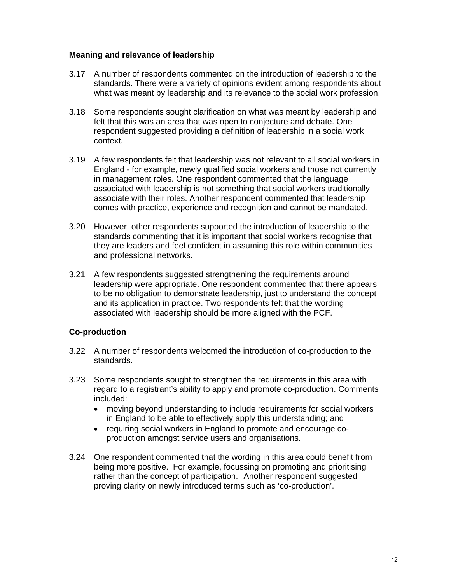#### **Meaning and relevance of leadership**

- 3.17 A number of respondents commented on the introduction of leadership to the standards. There were a variety of opinions evident among respondents about what was meant by leadership and its relevance to the social work profession.
- 3.18 Some respondents sought clarification on what was meant by leadership and felt that this was an area that was open to conjecture and debate. One respondent suggested providing a definition of leadership in a social work context.
- 3.19 A few respondents felt that leadership was not relevant to all social workers in England - for example, newly qualified social workers and those not currently in management roles. One respondent commented that the language associated with leadership is not something that social workers traditionally associate with their roles. Another respondent commented that leadership comes with practice, experience and recognition and cannot be mandated.
- 3.20 However, other respondents supported the introduction of leadership to the standards commenting that it is important that social workers recognise that they are leaders and feel confident in assuming this role within communities and professional networks.
- 3.21 A few respondents suggested strengthening the requirements around leadership were appropriate. One respondent commented that there appears to be no obligation to demonstrate leadership, just to understand the concept and its application in practice. Two respondents felt that the wording associated with leadership should be more aligned with the PCF.

#### **Co-production**

- 3.22 A number of respondents welcomed the introduction of co-production to the standards.
- 3.23 Some respondents sought to strengthen the requirements in this area with regard to a registrant's ability to apply and promote co-production. Comments included:
	- moving beyond understanding to include requirements for social workers in England to be able to effectively apply this understanding; and
	- requiring social workers in England to promote and encourage coproduction amongst service users and organisations.
- 3.24 One respondent commented that the wording in this area could benefit from being more positive. For example, focussing on promoting and prioritising rather than the concept of participation. Another respondent suggested proving clarity on newly introduced terms such as 'co-production'.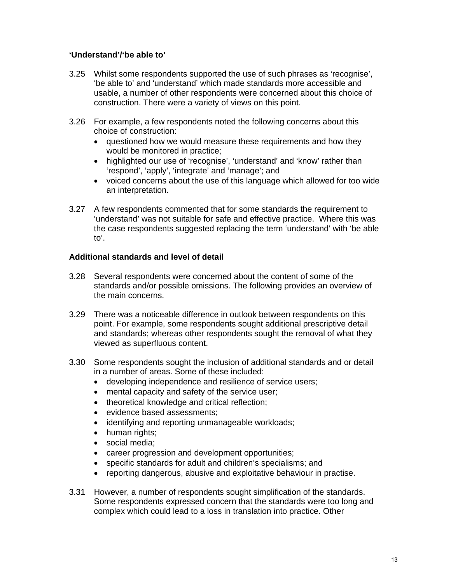#### **'Understand'/'be able to'**

- 3.25 Whilst some respondents supported the use of such phrases as 'recognise', 'be able to' and 'understand' which made standards more accessible and usable, a number of other respondents were concerned about this choice of construction. There were a variety of views on this point.
- 3.26 For example, a few respondents noted the following concerns about this choice of construction:
	- questioned how we would measure these requirements and how they would be monitored in practice;
	- highlighted our use of 'recognise', 'understand' and 'know' rather than 'respond', 'apply', 'integrate' and 'manage'; and
	- voiced concerns about the use of this language which allowed for too wide an interpretation.
- 3.27 A few respondents commented that for some standards the requirement to 'understand' was not suitable for safe and effective practice. Where this was the case respondents suggested replacing the term 'understand' with 'be able to'.

#### **Additional standards and level of detail**

- 3.28 Several respondents were concerned about the content of some of the standards and/or possible omissions. The following provides an overview of the main concerns.
- 3.29 There was a noticeable difference in outlook between respondents on this point. For example, some respondents sought additional prescriptive detail and standards; whereas other respondents sought the removal of what they viewed as superfluous content.
- 3.30 Some respondents sought the inclusion of additional standards and or detail in a number of areas. Some of these included:
	- developing independence and resilience of service users;
	- mental capacity and safety of the service user;
	- theoretical knowledge and critical reflection;
	- evidence based assessments;
	- identifying and reporting unmanageable workloads;
	- human rights;
	- social media:
	- career progression and development opportunities;
	- specific standards for adult and children's specialisms; and
	- reporting dangerous, abusive and exploitative behaviour in practise.
- 3.31 However, a number of respondents sought simplification of the standards. Some respondents expressed concern that the standards were too long and complex which could lead to a loss in translation into practice. Other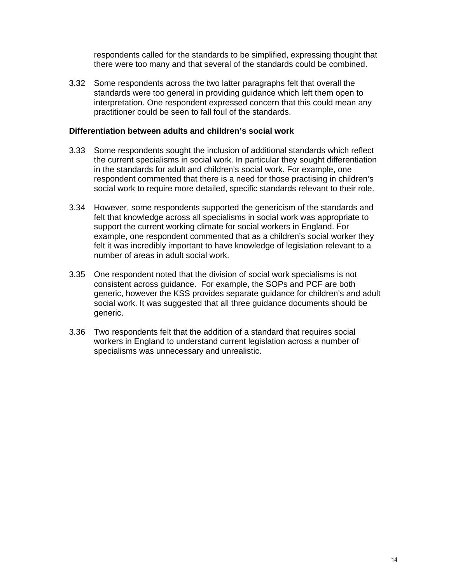respondents called for the standards to be simplified, expressing thought that there were too many and that several of the standards could be combined.

3.32 Some respondents across the two latter paragraphs felt that overall the standards were too general in providing guidance which left them open to interpretation. One respondent expressed concern that this could mean any practitioner could be seen to fall foul of the standards.

#### **Differentiation between adults and children's social work**

- 3.33 Some respondents sought the inclusion of additional standards which reflect the current specialisms in social work. In particular they sought differentiation in the standards for adult and children's social work. For example, one respondent commented that there is a need for those practising in children's social work to require more detailed, specific standards relevant to their role.
- 3.34 However, some respondents supported the genericism of the standards and felt that knowledge across all specialisms in social work was appropriate to support the current working climate for social workers in England. For example, one respondent commented that as a children's social worker they felt it was incredibly important to have knowledge of legislation relevant to a number of areas in adult social work.
- 3.35 One respondent noted that the division of social work specialisms is not consistent across guidance. For example, the SOPs and PCF are both generic, however the KSS provides separate guidance for children's and adult social work. It was suggested that all three guidance documents should be generic.
- 3.36 Two respondents felt that the addition of a standard that requires social workers in England to understand current legislation across a number of specialisms was unnecessary and unrealistic.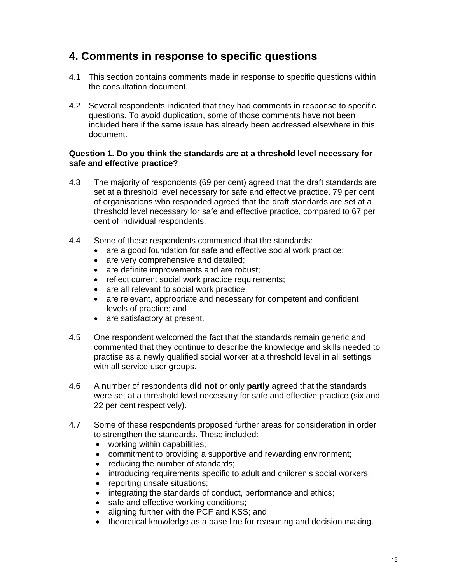## **4. Comments in response to specific questions**

- 4.1 This section contains comments made in response to specific questions within the consultation document.
- 4.2 Several respondents indicated that they had comments in response to specific questions. To avoid duplication, some of those comments have not been included here if the same issue has already been addressed elsewhere in this document.

#### **Question 1. Do you think the standards are at a threshold level necessary for safe and effective practice?**

- 4.3 The majority of respondents (69 per cent) agreed that the draft standards are set at a threshold level necessary for safe and effective practice. 79 per cent of organisations who responded agreed that the draft standards are set at a threshold level necessary for safe and effective practice, compared to 67 per cent of individual respondents.
- 4.4 Some of these respondents commented that the standards:
	- are a good foundation for safe and effective social work practice;
	- are very comprehensive and detailed;
	- are definite improvements and are robust:
	- reflect current social work practice requirements;
	- are all relevant to social work practice:
	- are relevant, appropriate and necessary for competent and confident levels of practice; and
	- are satisfactory at present.
- 4.5 One respondent welcomed the fact that the standards remain generic and commented that they continue to describe the knowledge and skills needed to practise as a newly qualified social worker at a threshold level in all settings with all service user groups.
- 4.6 A number of respondents **did not** or only **partly** agreed that the standards were set at a threshold level necessary for safe and effective practice (six and 22 per cent respectively).
- 4.7 Some of these respondents proposed further areas for consideration in order to strengthen the standards. These included:
	- working within capabilities;
	- commitment to providing a supportive and rewarding environment;
	- reducing the number of standards;
	- introducing requirements specific to adult and children's social workers;
	- reporting unsafe situations;
	- integrating the standards of conduct, performance and ethics;
	- safe and effective working conditions;
	- aligning further with the PCF and KSS; and
	- theoretical knowledge as a base line for reasoning and decision making.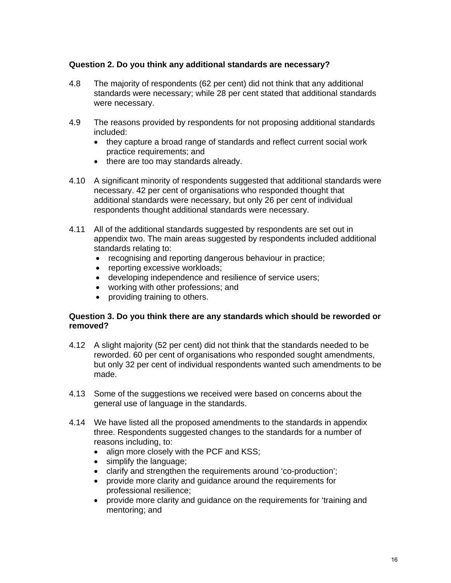#### **Question 2. Do you think any additional standards are necessary?**

- 4.8 The majority of respondents (62 per cent) did not think that any additional standards were necessary; while 28 per cent stated that additional standards were necessary.
- 4.9 The reasons provided by respondents for not proposing additional standards included:
	- they capture a broad range of standards and reflect current social work practice requirements; and
	- there are too may standards already.
- 4.10 A significant minority of respondents suggested that additional standards were necessary. 42 per cent of organisations who responded thought that additional standards were necessary, but only 26 per cent of individual respondents thought additional standards were necessary.
- 4.11 All of the additional standards suggested by respondents are set out in appendix two. The main areas suggested by respondents included additional standards relating to:
	- recognising and reporting dangerous behaviour in practice;
	- reporting excessive workloads;
	- developing independence and resilience of service users;
	- working with other professions; and
	- providing training to others.

#### **Question 3. Do you think there are any standards which should be reworded or removed?**

- 4.12 A slight majority (52 per cent) did not think that the standards needed to be reworded. 60 per cent of organisations who responded sought amendments, but only 32 per cent of individual respondents wanted such amendments to be made.
- 4.13 Some of the suggestions we received were based on concerns about the general use of language in the standards.
- 4.14 We have listed all the proposed amendments to the standards in appendix three. Respondents suggested changes to the standards for a number of reasons including, to:
	- align more closely with the PCF and KSS;
	- simplify the language;
	- clarify and strengthen the requirements around 'co-production';
	- provide more clarity and guidance around the requirements for professional resilience;
	- provide more clarity and guidance on the requirements for 'training and mentoring; and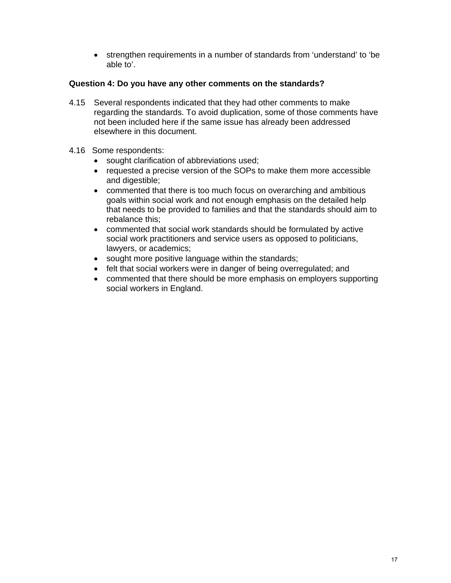strengthen requirements in a number of standards from 'understand' to 'be able to'.

#### **Question 4: Do you have any other comments on the standards?**

- 4.15 Several respondents indicated that they had other comments to make regarding the standards. To avoid duplication, some of those comments have not been included here if the same issue has already been addressed elsewhere in this document.
- 4.16 Some respondents:
	- sought clarification of abbreviations used;
	- requested a precise version of the SOPs to make them more accessible and digestible;
	- commented that there is too much focus on overarching and ambitious goals within social work and not enough emphasis on the detailed help that needs to be provided to families and that the standards should aim to rebalance this;
	- commented that social work standards should be formulated by active social work practitioners and service users as opposed to politicians, lawyers, or academics;
	- sought more positive language within the standards;
	- felt that social workers were in danger of being overregulated; and
	- commented that there should be more emphasis on employers supporting social workers in England.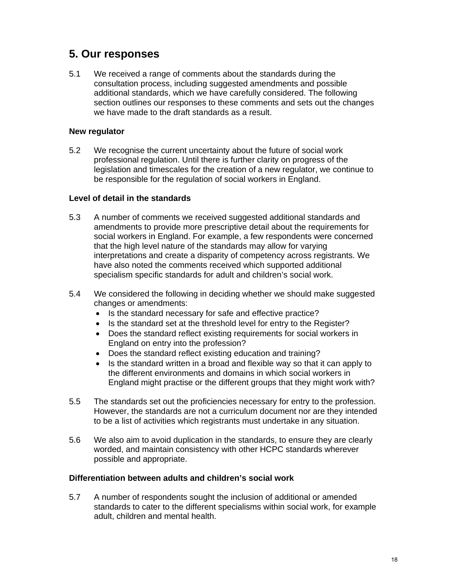## **5. Our responses**

5.1 We received a range of comments about the standards during the consultation process, including suggested amendments and possible additional standards, which we have carefully considered. The following section outlines our responses to these comments and sets out the changes we have made to the draft standards as a result.

#### **New regulator**

5.2 We recognise the current uncertainty about the future of social work professional regulation. Until there is further clarity on progress of the legislation and timescales for the creation of a new regulator, we continue to be responsible for the regulation of social workers in England.

#### **Level of detail in the standards**

- 5.3 A number of comments we received suggested additional standards and amendments to provide more prescriptive detail about the requirements for social workers in England. For example, a few respondents were concerned that the high level nature of the standards may allow for varying interpretations and create a disparity of competency across registrants. We have also noted the comments received which supported additional specialism specific standards for adult and children's social work.
- 5.4 We considered the following in deciding whether we should make suggested changes or amendments:
	- Is the standard necessary for safe and effective practice?
	- Is the standard set at the threshold level for entry to the Register?
	- Does the standard reflect existing requirements for social workers in England on entry into the profession?
	- Does the standard reflect existing education and training?
	- Is the standard written in a broad and flexible way so that it can apply to the different environments and domains in which social workers in England might practise or the different groups that they might work with?
- 5.5 The standards set out the proficiencies necessary for entry to the profession. However, the standards are not a curriculum document nor are they intended to be a list of activities which registrants must undertake in any situation.
- 5.6 We also aim to avoid duplication in the standards, to ensure they are clearly worded, and maintain consistency with other HCPC standards wherever possible and appropriate.

#### **Differentiation between adults and children's social work**

5.7 A number of respondents sought the inclusion of additional or amended standards to cater to the different specialisms within social work, for example adult, children and mental health.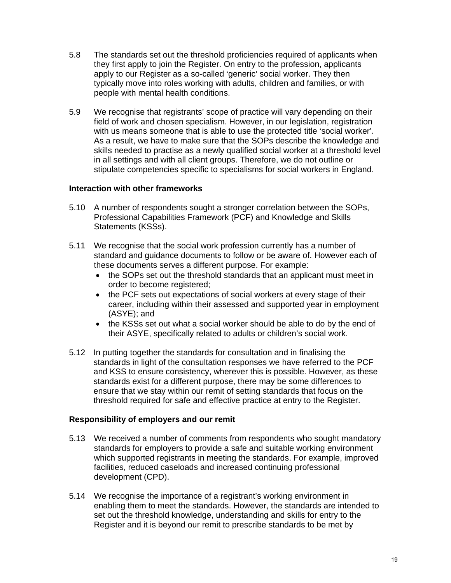- 5.8 The standards set out the threshold proficiencies required of applicants when they first apply to join the Register. On entry to the profession, applicants apply to our Register as a so-called 'generic' social worker. They then typically move into roles working with adults, children and families, or with people with mental health conditions.
- 5.9 We recognise that registrants' scope of practice will vary depending on their field of work and chosen specialism. However, in our legislation, registration with us means someone that is able to use the protected title 'social worker'. As a result, we have to make sure that the SOPs describe the knowledge and skills needed to practise as a newly qualified social worker at a threshold level in all settings and with all client groups. Therefore, we do not outline or stipulate competencies specific to specialisms for social workers in England.

#### **Interaction with other frameworks**

- 5.10 A number of respondents sought a stronger correlation between the SOPs, Professional Capabilities Framework (PCF) and Knowledge and Skills Statements (KSSs).
- 5.11 We recognise that the social work profession currently has a number of standard and guidance documents to follow or be aware of. However each of these documents serves a different purpose. For example:
	- the SOPs set out the threshold standards that an applicant must meet in order to become registered;
	- the PCF sets out expectations of social workers at every stage of their career, including within their assessed and supported year in employment (ASYE); and
	- the KSSs set out what a social worker should be able to do by the end of their ASYE, specifically related to adults or children's social work.
- 5.12 In putting together the standards for consultation and in finalising the standards in light of the consultation responses we have referred to the PCF and KSS to ensure consistency, wherever this is possible. However, as these standards exist for a different purpose, there may be some differences to ensure that we stay within our remit of setting standards that focus on the threshold required for safe and effective practice at entry to the Register.

#### **Responsibility of employers and our remit**

- 5.13 We received a number of comments from respondents who sought mandatory standards for employers to provide a safe and suitable working environment which supported registrants in meeting the standards. For example, improved facilities, reduced caseloads and increased continuing professional development (CPD).
- 5.14 We recognise the importance of a registrant's working environment in enabling them to meet the standards. However, the standards are intended to set out the threshold knowledge, understanding and skills for entry to the Register and it is beyond our remit to prescribe standards to be met by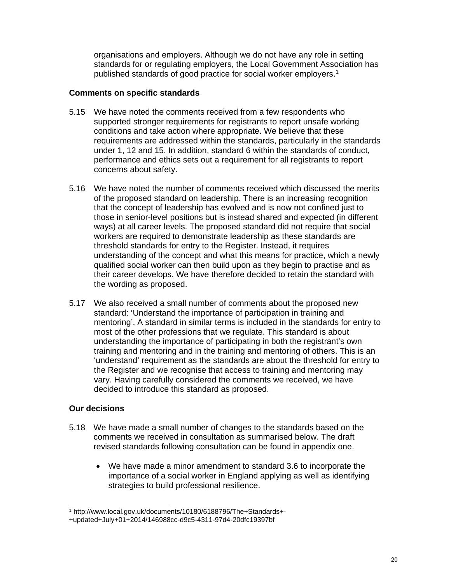organisations and employers. Although we do not have any role in setting standards for or regulating employers, the Local Government Association has published standards of good practice for social worker employers.1

#### **Comments on specific standards**

- 5.15 We have noted the comments received from a few respondents who supported stronger requirements for registrants to report unsafe working conditions and take action where appropriate. We believe that these requirements are addressed within the standards, particularly in the standards under 1, 12 and 15. In addition, standard 6 within the standards of conduct, performance and ethics sets out a requirement for all registrants to report concerns about safety.
- 5.16 We have noted the number of comments received which discussed the merits of the proposed standard on leadership. There is an increasing recognition that the concept of leadership has evolved and is now not confined just to those in senior-level positions but is instead shared and expected (in different ways) at all career levels. The proposed standard did not require that social workers are required to demonstrate leadership as these standards are threshold standards for entry to the Register. Instead, it requires understanding of the concept and what this means for practice, which a newly qualified social worker can then build upon as they begin to practise and as their career develops. We have therefore decided to retain the standard with the wording as proposed.
- 5.17 We also received a small number of comments about the proposed new standard: 'Understand the importance of participation in training and mentoring'. A standard in similar terms is included in the standards for entry to most of the other professions that we regulate. This standard is about understanding the importance of participating in both the registrant's own training and mentoring and in the training and mentoring of others. This is an 'understand' requirement as the standards are about the threshold for entry to the Register and we recognise that access to training and mentoring may vary. Having carefully considered the comments we received, we have decided to introduce this standard as proposed.

#### **Our decisions**

- 5.18 We have made a small number of changes to the standards based on the comments we received in consultation as summarised below. The draft revised standards following consultation can be found in appendix one.
	- We have made a minor amendment to standard 3.6 to incorporate the importance of a social worker in England applying as well as identifying strategies to build professional resilience.

<sup>-</sup>1 http://www.local.gov.uk/documents/10180/6188796/The+Standards+-

<sup>+</sup>updated+July+01+2014/146988cc-d9c5-4311-97d4-20dfc19397bf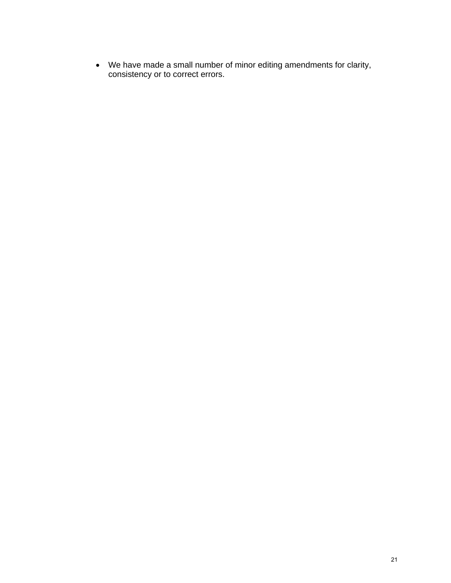We have made a small number of minor editing amendments for clarity, consistency or to correct errors.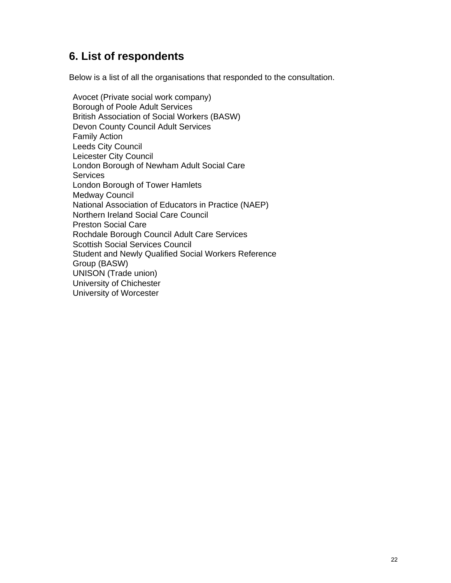## **6. List of respondents**

Below is a list of all the organisations that responded to the consultation.

Avocet (Private social work company) Borough of Poole Adult Services British Association of Social Workers (BASW) Devon County Council Adult Services Family Action Leeds City Council Leicester City Council London Borough of Newham Adult Social Care **Services** London Borough of Tower Hamlets Medway Council National Association of Educators in Practice (NAEP) Northern Ireland Social Care Council Preston Social Care Rochdale Borough Council Adult Care Services Scottish Social Services Council Student and Newly Qualified Social Workers Reference Group (BASW) UNISON (Trade union) University of Chichester University of Worcester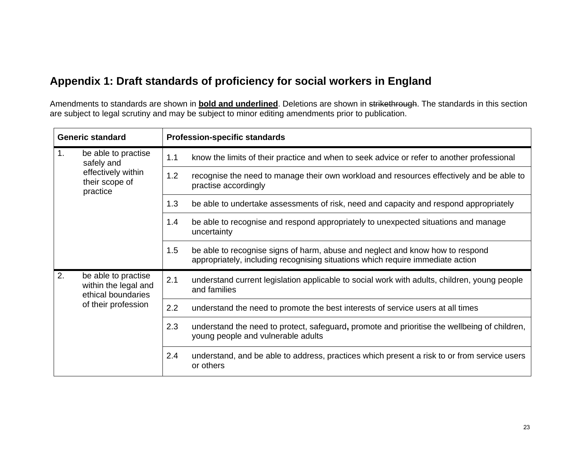## **Appendix 1: Draft standards of proficiency for social workers in England**

Amendments to standards are shown in **bold and underlined**. Deletions are shown in strikethrough. The standards in this section are subject to legal scrutiny and may be subject to minor editing amendments prior to publication.

| <b>Generic standard</b>              |                                                                   |     | <b>Profession-specific standards</b>                                                                                                                            |
|--------------------------------------|-------------------------------------------------------------------|-----|-----------------------------------------------------------------------------------------------------------------------------------------------------------------|
| $\mathbf{1}$ .                       | be able to practise<br>safely and                                 | 1.1 | know the limits of their practice and when to seek advice or refer to another professional                                                                      |
| effectively within<br>their scope of | practice                                                          | 1.2 | recognise the need to manage their own workload and resources effectively and be able to<br>practise accordingly                                                |
|                                      |                                                                   | 1.3 | be able to undertake assessments of risk, need and capacity and respond appropriately                                                                           |
|                                      |                                                                   | 1.4 | be able to recognise and respond appropriately to unexpected situations and manage<br>uncertainty                                                               |
|                                      |                                                                   | 1.5 | be able to recognise signs of harm, abuse and neglect and know how to respond<br>appropriately, including recognising situations which require immediate action |
| 2.                                   | be able to practise<br>within the legal and<br>ethical boundaries | 2.1 | understand current legislation applicable to social work with adults, children, young people<br>and families                                                    |
|                                      | of their profession                                               | 2.2 | understand the need to promote the best interests of service users at all times                                                                                 |
|                                      |                                                                   | 2.3 | understand the need to protect, safeguard, promote and prioritise the wellbeing of children,<br>young people and vulnerable adults                              |
|                                      |                                                                   | 2.4 | understand, and be able to address, practices which present a risk to or from service users<br>or others                                                        |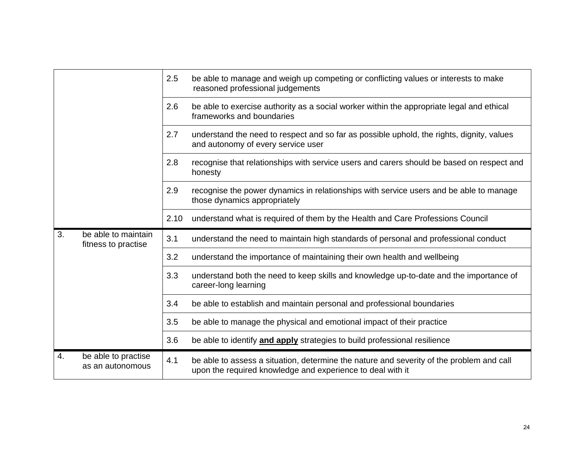|    |                     | 2.5  | be able to manage and weigh up competing or conflicting values or interests to make<br>reasoned professional judgements         |
|----|---------------------|------|---------------------------------------------------------------------------------------------------------------------------------|
|    |                     | 2.6  | be able to exercise authority as a social worker within the appropriate legal and ethical<br>frameworks and boundaries          |
|    |                     | 2.7  | understand the need to respect and so far as possible uphold, the rights, dignity, values<br>and autonomy of every service user |
|    |                     | 2.8  | recognise that relationships with service users and carers should be based on respect and<br>honesty                            |
|    |                     | 2.9  | recognise the power dynamics in relationships with service users and be able to manage<br>those dynamics appropriately          |
|    |                     | 2.10 | understand what is required of them by the Health and Care Professions Council                                                  |
|    |                     |      |                                                                                                                                 |
| 3. | be able to maintain | 3.1  | understand the need to maintain high standards of personal and professional conduct                                             |
|    | fitness to practise | 3.2  | understand the importance of maintaining their own health and wellbeing                                                         |
|    |                     | 3.3  | understand both the need to keep skills and knowledge up-to-date and the importance of<br>career-long learning                  |
|    |                     | 3.4  | be able to establish and maintain personal and professional boundaries                                                          |
|    |                     | 3.5  | be able to manage the physical and emotional impact of their practice                                                           |
|    |                     | 3.6  | be able to identify and apply strategies to build professional resilience                                                       |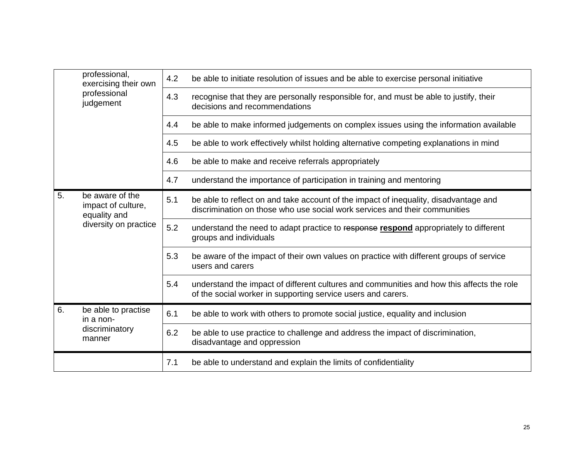|    | professional,<br>exercising their own<br>professional<br>judgement | 4.2 | be able to initiate resolution of issues and be able to exercise personal initiative                                                                               |
|----|--------------------------------------------------------------------|-----|--------------------------------------------------------------------------------------------------------------------------------------------------------------------|
|    |                                                                    | 4.3 | recognise that they are personally responsible for, and must be able to justify, their<br>decisions and recommendations                                            |
|    |                                                                    | 4.4 | be able to make informed judgements on complex issues using the information available                                                                              |
|    |                                                                    | 4.5 | be able to work effectively whilst holding alternative competing explanations in mind                                                                              |
|    |                                                                    | 4.6 | be able to make and receive referrals appropriately                                                                                                                |
|    |                                                                    | 4.7 | understand the importance of participation in training and mentoring                                                                                               |
| 5. | be aware of the<br>impact of culture,<br>equality and              | 5.1 | be able to reflect on and take account of the impact of inequality, disadvantage and<br>discrimination on those who use social work services and their communities |
|    | diversity on practice                                              | 5.2 | understand the need to adapt practice to response respond appropriately to different<br>groups and individuals                                                     |
|    |                                                                    | 5.3 | be aware of the impact of their own values on practice with different groups of service<br>users and carers                                                        |
|    |                                                                    | 5.4 | understand the impact of different cultures and communities and how this affects the role<br>of the social worker in supporting service users and carers.          |
| 6. | be able to practise<br>in a non-                                   | 6.1 | be able to work with others to promote social justice, equality and inclusion                                                                                      |
|    | discriminatory<br>manner                                           | 6.2 | be able to use practice to challenge and address the impact of discrimination,<br>disadvantage and oppression                                                      |
|    |                                                                    | 7.1 | be able to understand and explain the limits of confidentiality                                                                                                    |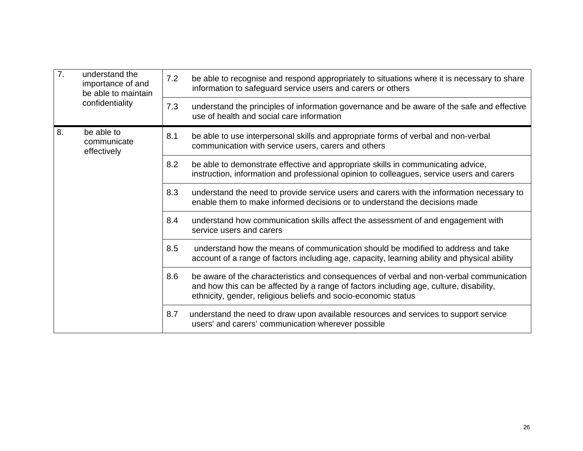| $\overline{7}$ . | understand the<br>importance of and<br>be able to maintain<br>confidentiality | 7.2<br>7.3 | be able to recognise and respond appropriately to situations where it is necessary to share<br>information to safeguard service users and carers or others<br>understand the principles of information governance and be aware of the safe and effective<br>use of health and social care information |
|------------------|-------------------------------------------------------------------------------|------------|-------------------------------------------------------------------------------------------------------------------------------------------------------------------------------------------------------------------------------------------------------------------------------------------------------|
|                  |                                                                               |            |                                                                                                                                                                                                                                                                                                       |
| 8.               | be able to<br>communicate<br>effectively                                      | 8.1        | be able to use interpersonal skills and appropriate forms of verbal and non-verbal<br>communication with service users, carers and others                                                                                                                                                             |
|                  |                                                                               | 8.2        | be able to demonstrate effective and appropriate skills in communicating advice,<br>instruction, information and professional opinion to colleagues, service users and carers                                                                                                                         |
|                  |                                                                               | 8.3        | understand the need to provide service users and carers with the information necessary to<br>enable them to make informed decisions or to understand the decisions made                                                                                                                               |
|                  |                                                                               | 8.4        | understand how communication skills affect the assessment of and engagement with<br>service users and carers                                                                                                                                                                                          |
|                  |                                                                               | 8.5        | understand how the means of communication should be modified to address and take<br>account of a range of factors including age, capacity, learning ability and physical ability                                                                                                                      |
|                  |                                                                               | 8.6        | be aware of the characteristics and consequences of verbal and non-verbal communication<br>and how this can be affected by a range of factors including age, culture, disability,<br>ethnicity, gender, religious beliefs and socio-economic status                                                   |
|                  |                                                                               | 8.7        | understand the need to draw upon available resources and services to support service<br>users' and carers' communication wherever possible                                                                                                                                                            |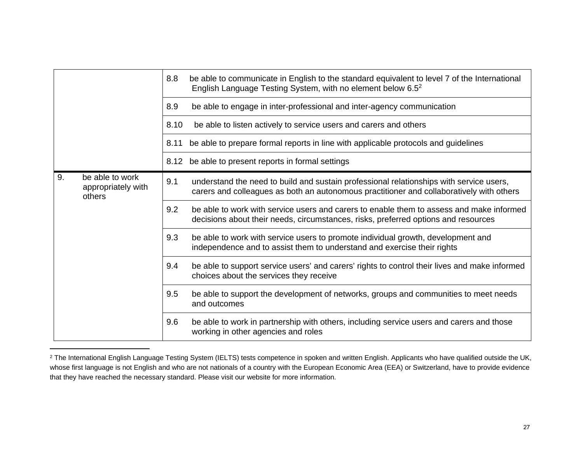|    |                                                 | 8.8  | be able to communicate in English to the standard equivalent to level 7 of the International<br>English Language Testing System, with no element below 6.5 <sup>2</sup>             |
|----|-------------------------------------------------|------|-------------------------------------------------------------------------------------------------------------------------------------------------------------------------------------|
|    |                                                 | 8.9  | be able to engage in inter-professional and inter-agency communication                                                                                                              |
|    |                                                 | 8.10 | be able to listen actively to service users and carers and others                                                                                                                   |
|    |                                                 | 8.11 | be able to prepare formal reports in line with applicable protocols and guidelines                                                                                                  |
|    |                                                 | 8.12 | be able to present reports in formal settings                                                                                                                                       |
| 9. | be able to work<br>appropriately with<br>others | 9.1  | understand the need to build and sustain professional relationships with service users,<br>carers and colleagues as both an autonomous practitioner and collaboratively with others |
|    |                                                 | 9.2  | be able to work with service users and carers to enable them to assess and make informed<br>decisions about their needs, circumstances, risks, preferred options and resources      |
|    |                                                 | 9.3  | be able to work with service users to promote individual growth, development and<br>independence and to assist them to understand and exercise their rights                         |
|    |                                                 | 9.4  | be able to support service users' and carers' rights to control their lives and make informed<br>choices about the services they receive                                            |
|    |                                                 | 9.5  | be able to support the development of networks, groups and communities to meet needs<br>and outcomes                                                                                |
|    |                                                 | 9.6  | be able to work in partnership with others, including service users and carers and those<br>working in other agencies and roles                                                     |

<sup>&</sup>lt;sup>2</sup> The International English Language Testing System (IELTS) tests competence in spoken and written English. Applicants who have qualified outside the UK, whose first language is not English and who are not nationals of a country with the European Economic Area (EEA) or Switzerland, have to provide evidence that they have reached the necessary standard. Please visit our website for more information.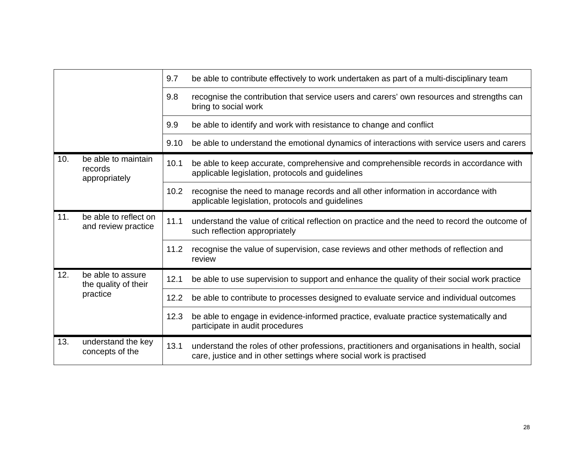|     |                                                 | 9.7  | be able to contribute effectively to work undertaken as part of a multi-disciplinary team                                                                          |
|-----|-------------------------------------------------|------|--------------------------------------------------------------------------------------------------------------------------------------------------------------------|
|     |                                                 | 9.8  | recognise the contribution that service users and carers' own resources and strengths can<br>bring to social work                                                  |
|     |                                                 | 9.9  | be able to identify and work with resistance to change and conflict                                                                                                |
|     |                                                 | 9.10 | be able to understand the emotional dynamics of interactions with service users and carers                                                                         |
| 10. | be able to maintain<br>records<br>appropriately | 10.1 | be able to keep accurate, comprehensive and comprehensible records in accordance with<br>applicable legislation, protocols and guidelines                          |
|     |                                                 | 10.2 | recognise the need to manage records and all other information in accordance with<br>applicable legislation, protocols and guidelines                              |
| 11. | be able to reflect on<br>and review practice    | 11.1 | understand the value of critical reflection on practice and the need to record the outcome of<br>such reflection appropriately                                     |
|     |                                                 | 11.2 | recognise the value of supervision, case reviews and other methods of reflection and<br>review                                                                     |
| 12. | be able to assure<br>the quality of their       | 12.1 | be able to use supervision to support and enhance the quality of their social work practice                                                                        |
|     | practice                                        | 12.2 | be able to contribute to processes designed to evaluate service and individual outcomes                                                                            |
|     |                                                 | 12.3 | be able to engage in evidence-informed practice, evaluate practice systematically and<br>participate in audit procedures                                           |
| 13. | understand the key<br>concepts of the           | 13.1 | understand the roles of other professions, practitioners and organisations in health, social<br>care, justice and in other settings where social work is practised |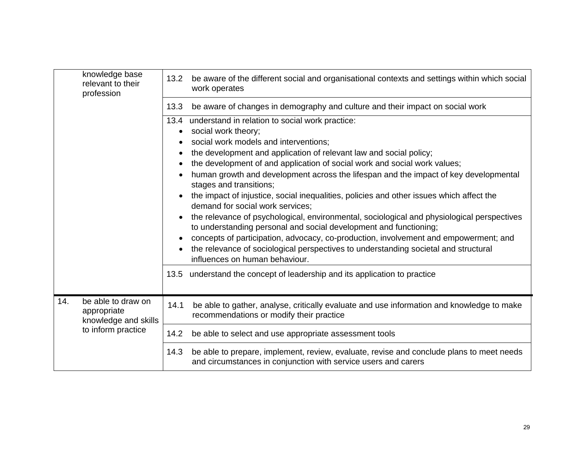|                                                                                                                                                                                                                                                                   | knowledge base<br>relevant to their<br>profession                               |                                                                                                                                                                                                                                                                                                                                                                                                                                                                                                                                                                                                                                                   | 13.2<br>be aware of the different social and organisational contexts and settings within which social<br>work operates                                     |
|-------------------------------------------------------------------------------------------------------------------------------------------------------------------------------------------------------------------------------------------------------------------|---------------------------------------------------------------------------------|---------------------------------------------------------------------------------------------------------------------------------------------------------------------------------------------------------------------------------------------------------------------------------------------------------------------------------------------------------------------------------------------------------------------------------------------------------------------------------------------------------------------------------------------------------------------------------------------------------------------------------------------------|------------------------------------------------------------------------------------------------------------------------------------------------------------|
|                                                                                                                                                                                                                                                                   |                                                                                 |                                                                                                                                                                                                                                                                                                                                                                                                                                                                                                                                                                                                                                                   | be aware of changes in demography and culture and their impact on social work                                                                              |
| 13.3<br>13.4 understand in relation to social work practice:<br>social work theory;<br>social work models and interventions;<br>the development and application of relevant law and social policy;<br>stages and transitions;<br>demand for social work services; |                                                                                 | the development of and application of social work and social work values;<br>human growth and development across the lifespan and the impact of key developmental<br>the impact of injustice, social inequalities, policies and other issues which affect the<br>the relevance of psychological, environmental, sociological and physiological perspectives<br>to understanding personal and social development and functioning;<br>concepts of participation, advocacy, co-production, involvement and empowerment; and<br>the relevance of sociological perspectives to understanding societal and structural<br>influences on human behaviour. |                                                                                                                                                            |
|                                                                                                                                                                                                                                                                   |                                                                                 |                                                                                                                                                                                                                                                                                                                                                                                                                                                                                                                                                                                                                                                   | 13.5 understand the concept of leadership and its application to practice                                                                                  |
| 14.                                                                                                                                                                                                                                                               | be able to draw on<br>appropriate<br>knowledge and skills<br>to inform practice | 14.1                                                                                                                                                                                                                                                                                                                                                                                                                                                                                                                                                                                                                                              | be able to gather, analyse, critically evaluate and use information and knowledge to make<br>recommendations or modify their practice                      |
|                                                                                                                                                                                                                                                                   |                                                                                 | 14.2                                                                                                                                                                                                                                                                                                                                                                                                                                                                                                                                                                                                                                              | be able to select and use appropriate assessment tools                                                                                                     |
|                                                                                                                                                                                                                                                                   |                                                                                 | 14.3                                                                                                                                                                                                                                                                                                                                                                                                                                                                                                                                                                                                                                              | be able to prepare, implement, review, evaluate, revise and conclude plans to meet needs<br>and circumstances in conjunction with service users and carers |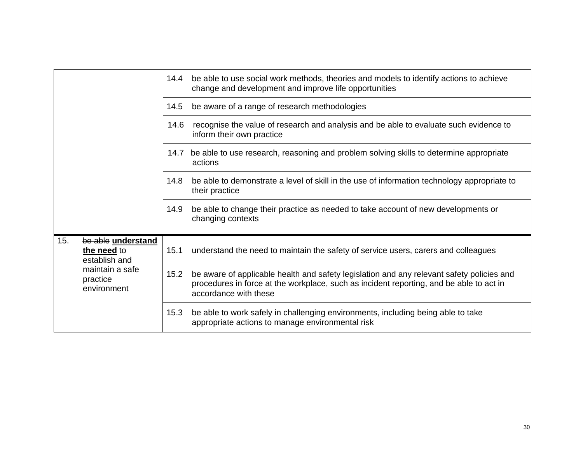|                                                           | 14.4 | be able to use social work methods, theories and models to identify actions to achieve<br>change and development and improve life opportunities                                                               |
|-----------------------------------------------------------|------|---------------------------------------------------------------------------------------------------------------------------------------------------------------------------------------------------------------|
|                                                           | 14.5 | be aware of a range of research methodologies                                                                                                                                                                 |
|                                                           | 14.6 | recognise the value of research and analysis and be able to evaluate such evidence to<br>inform their own practice                                                                                            |
|                                                           |      | 14.7 be able to use research, reasoning and problem solving skills to determine appropriate<br>actions                                                                                                        |
|                                                           | 14.8 | be able to demonstrate a level of skill in the use of information technology appropriate to<br>their practice                                                                                                 |
|                                                           | 14.9 | be able to change their practice as needed to take account of new developments or<br>changing contexts                                                                                                        |
| 15.<br>be able understand<br>the need to<br>establish and | 15.1 | understand the need to maintain the safety of service users, carers and colleagues                                                                                                                            |
| maintain a safe<br>practice<br>environment                | 15.2 | be aware of applicable health and safety legislation and any relevant safety policies and<br>procedures in force at the workplace, such as incident reporting, and be able to act in<br>accordance with these |
|                                                           | 15.3 | be able to work safely in challenging environments, including being able to take<br>appropriate actions to manage environmental risk                                                                          |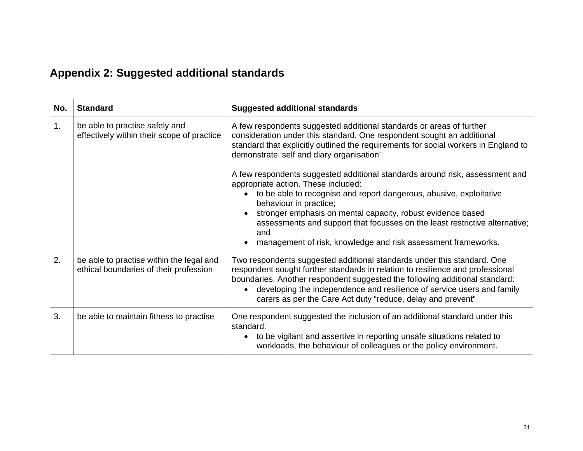# **Appendix 2: Suggested additional standards**

| No. | <b>Standard</b>                                                                    | <b>Suggested additional standards</b>                                                                                                                                                                                                                                                                                                                                                                                                                   |
|-----|------------------------------------------------------------------------------------|---------------------------------------------------------------------------------------------------------------------------------------------------------------------------------------------------------------------------------------------------------------------------------------------------------------------------------------------------------------------------------------------------------------------------------------------------------|
| 1.  | be able to practise safely and<br>effectively within their scope of practice       | A few respondents suggested additional standards or areas of further<br>consideration under this standard. One respondent sought an additional<br>standard that explicitly outlined the requirements for social workers in England to<br>demonstrate 'self and diary organisation'.                                                                                                                                                                     |
|     |                                                                                    | A few respondents suggested additional standards around risk, assessment and<br>appropriate action. These included:<br>to be able to recognise and report dangerous, abusive, exploitative<br>$\bullet$<br>behaviour in practice;<br>stronger emphasis on mental capacity, robust evidence based<br>assessments and support that focusses on the least restrictive alternative;<br>and<br>management of risk, knowledge and risk assessment frameworks. |
| 2.  | be able to practise within the legal and<br>ethical boundaries of their profession | Two respondents suggested additional standards under this standard. One<br>respondent sought further standards in relation to resilience and professional<br>boundaries. Another respondent suggested the following additional standard:<br>developing the independence and resilience of service users and family<br>$\bullet$<br>carers as per the Care Act duty "reduce, delay and prevent"                                                          |
| 3.  | be able to maintain fitness to practise                                            | One respondent suggested the inclusion of an additional standard under this<br>standard:<br>to be vigilant and assertive in reporting unsafe situations related to<br>workloads, the behaviour of colleagues or the policy environment.                                                                                                                                                                                                                 |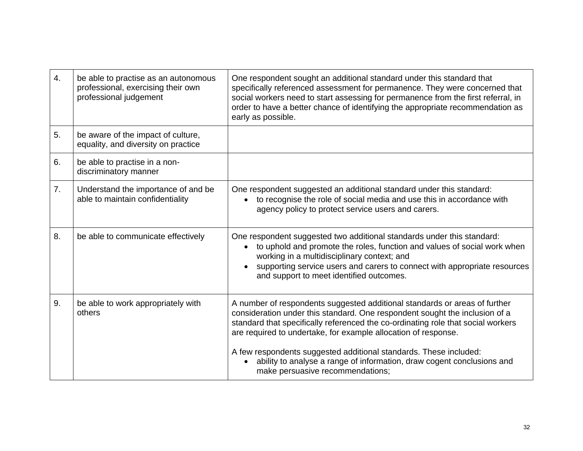| 4. | be able to practise as an autonomous<br>professional, exercising their own<br>professional judgement | One respondent sought an additional standard under this standard that<br>specifically referenced assessment for permanence. They were concerned that<br>social workers need to start assessing for permanence from the first referral, in<br>order to have a better chance of identifying the appropriate recommendation as<br>early as possible.                                                                                                                                                  |
|----|------------------------------------------------------------------------------------------------------|----------------------------------------------------------------------------------------------------------------------------------------------------------------------------------------------------------------------------------------------------------------------------------------------------------------------------------------------------------------------------------------------------------------------------------------------------------------------------------------------------|
| 5. | be aware of the impact of culture,<br>equality, and diversity on practice                            |                                                                                                                                                                                                                                                                                                                                                                                                                                                                                                    |
| 6. | be able to practise in a non-<br>discriminatory manner                                               |                                                                                                                                                                                                                                                                                                                                                                                                                                                                                                    |
| 7. | Understand the importance of and be<br>able to maintain confidentiality                              | One respondent suggested an additional standard under this standard:<br>to recognise the role of social media and use this in accordance with<br>$\bullet$<br>agency policy to protect service users and carers.                                                                                                                                                                                                                                                                                   |
| 8. | be able to communicate effectively                                                                   | One respondent suggested two additional standards under this standard:<br>to uphold and promote the roles, function and values of social work when<br>working in a multidisciplinary context; and<br>supporting service users and carers to connect with appropriate resources<br>and support to meet identified outcomes.                                                                                                                                                                         |
| 9. | be able to work appropriately with<br>others                                                         | A number of respondents suggested additional standards or areas of further<br>consideration under this standard. One respondent sought the inclusion of a<br>standard that specifically referenced the co-ordinating role that social workers<br>are required to undertake, for example allocation of response.<br>A few respondents suggested additional standards. These included:<br>ability to analyse a range of information, draw cogent conclusions and<br>make persuasive recommendations; |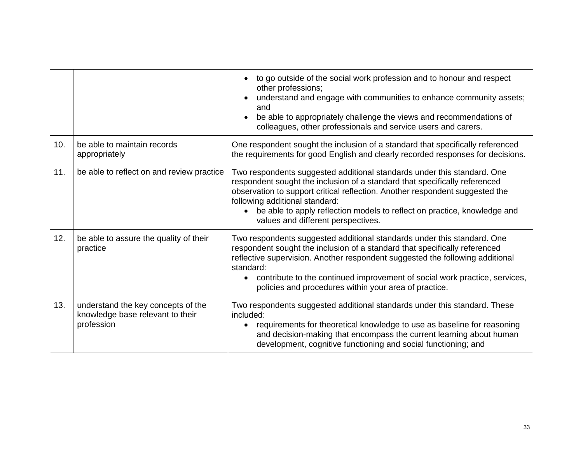|     |                                                                                      | to go outside of the social work profession and to honour and respect<br>other professions;<br>understand and engage with communities to enhance community assets;<br>and<br>be able to appropriately challenge the views and recommendations of<br>colleagues, other professionals and service users and carers.                                                                                       |
|-----|--------------------------------------------------------------------------------------|---------------------------------------------------------------------------------------------------------------------------------------------------------------------------------------------------------------------------------------------------------------------------------------------------------------------------------------------------------------------------------------------------------|
| 10. | be able to maintain records<br>appropriately                                         | One respondent sought the inclusion of a standard that specifically referenced<br>the requirements for good English and clearly recorded responses for decisions.                                                                                                                                                                                                                                       |
| 11. | be able to reflect on and review practice                                            | Two respondents suggested additional standards under this standard. One<br>respondent sought the inclusion of a standard that specifically referenced<br>observation to support critical reflection. Another respondent suggested the<br>following additional standard:<br>be able to apply reflection models to reflect on practice, knowledge and<br>values and different perspectives.               |
| 12. | be able to assure the quality of their<br>practice                                   | Two respondents suggested additional standards under this standard. One<br>respondent sought the inclusion of a standard that specifically referenced<br>reflective supervision. Another respondent suggested the following additional<br>standard:<br>contribute to the continued improvement of social work practice, services,<br>$\bullet$<br>policies and procedures within your area of practice. |
| 13. | understand the key concepts of the<br>knowledge base relevant to their<br>profession | Two respondents suggested additional standards under this standard. These<br>included:<br>requirements for theoretical knowledge to use as baseline for reasoning<br>$\bullet$<br>and decision-making that encompass the current learning about human<br>development, cognitive functioning and social functioning; and                                                                                 |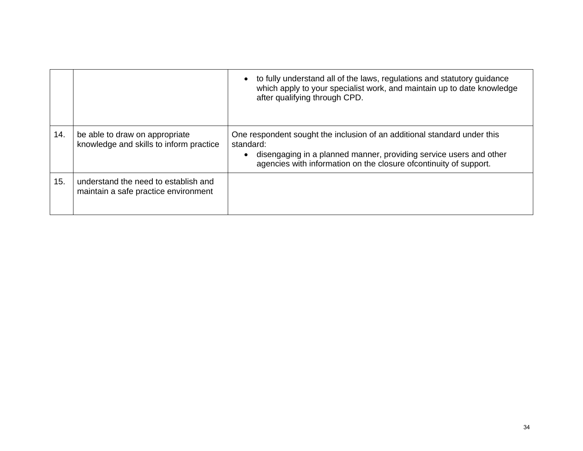|     |                                                                              | to fully understand all of the laws, regulations and statutory guidance<br>which apply to your specialist work, and maintain up to date knowledge<br>after qualifying through CPD.                                                |
|-----|------------------------------------------------------------------------------|-----------------------------------------------------------------------------------------------------------------------------------------------------------------------------------------------------------------------------------|
| 14. | be able to draw on appropriate<br>knowledge and skills to inform practice    | One respondent sought the inclusion of an additional standard under this<br>standard:<br>disengaging in a planned manner, providing service users and other<br>agencies with information on the closure of continuity of support. |
| 15. | understand the need to establish and<br>maintain a safe practice environment |                                                                                                                                                                                                                                   |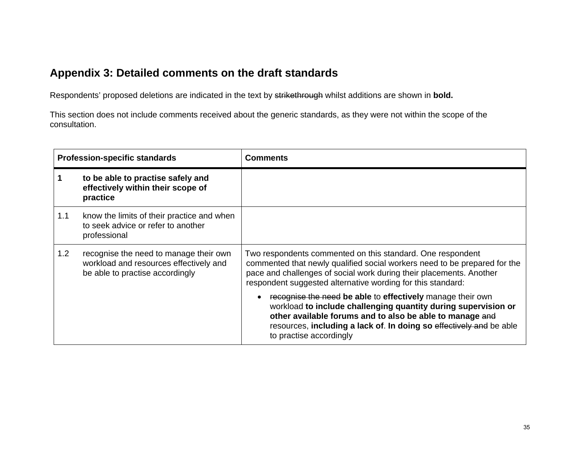## **Appendix 3: Detailed comments on the draft standards**

Respondents' proposed deletions are indicated in the text by strikethrough whilst additions are shown in **bold.** 

This section does not include comments received about the generic standards, as they were not within the scope of the consultation.

| <b>Profession-specific standards</b> |                                                                                                                     | <b>Comments</b>                                                                                                                                                                                                                                                                                         |
|--------------------------------------|---------------------------------------------------------------------------------------------------------------------|---------------------------------------------------------------------------------------------------------------------------------------------------------------------------------------------------------------------------------------------------------------------------------------------------------|
|                                      | to be able to practise safely and<br>effectively within their scope of<br>practice                                  |                                                                                                                                                                                                                                                                                                         |
| 1.1                                  | know the limits of their practice and when<br>to seek advice or refer to another<br>professional                    |                                                                                                                                                                                                                                                                                                         |
| 1.2                                  | recognise the need to manage their own<br>workload and resources effectively and<br>be able to practise accordingly | Two respondents commented on this standard. One respondent<br>commented that newly qualified social workers need to be prepared for the<br>pace and challenges of social work during their placements. Another<br>respondent suggested alternative wording for this standard:                           |
|                                      |                                                                                                                     | recognise the need be able to effectively manage their own<br>$\bullet$<br>workload to include challenging quantity during supervision or<br>other available forums and to also be able to manage and<br>resources, including a lack of. In doing so effectively and be able<br>to practise accordingly |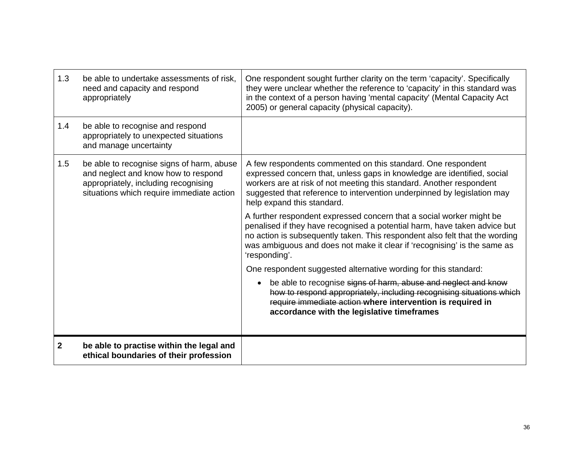| 1.3 | be able to undertake assessments of risk,<br>need and capacity and respond<br>appropriately                                                                           | One respondent sought further clarity on the term 'capacity'. Specifically<br>they were unclear whether the reference to 'capacity' in this standard was<br>in the context of a person having 'mental capacity' (Mental Capacity Act<br>2005) or general capacity (physical capacity).                                        |
|-----|-----------------------------------------------------------------------------------------------------------------------------------------------------------------------|-------------------------------------------------------------------------------------------------------------------------------------------------------------------------------------------------------------------------------------------------------------------------------------------------------------------------------|
| 1.4 | be able to recognise and respond<br>appropriately to unexpected situations<br>and manage uncertainty                                                                  |                                                                                                                                                                                                                                                                                                                               |
| 1.5 | be able to recognise signs of harm, abuse<br>and neglect and know how to respond<br>appropriately, including recognising<br>situations which require immediate action | A few respondents commented on this standard. One respondent<br>expressed concern that, unless gaps in knowledge are identified, social<br>workers are at risk of not meeting this standard. Another respondent<br>suggested that reference to intervention underpinned by legislation may<br>help expand this standard.      |
|     |                                                                                                                                                                       | A further respondent expressed concern that a social worker might be<br>penalised if they have recognised a potential harm, have taken advice but<br>no action is subsequently taken. This respondent also felt that the wording<br>was ambiguous and does not make it clear if 'recognising' is the same as<br>'responding'. |
|     |                                                                                                                                                                       | One respondent suggested alternative wording for this standard:                                                                                                                                                                                                                                                               |
|     |                                                                                                                                                                       | be able to recognise signs of harm, abuse and neglect and know<br>how to respond appropriately, including recognising situations which<br>require immediate action where intervention is required in<br>accordance with the legislative timeframes                                                                            |
| 2   | be able to practise within the legal and<br>ethical boundaries of their profession                                                                                    |                                                                                                                                                                                                                                                                                                                               |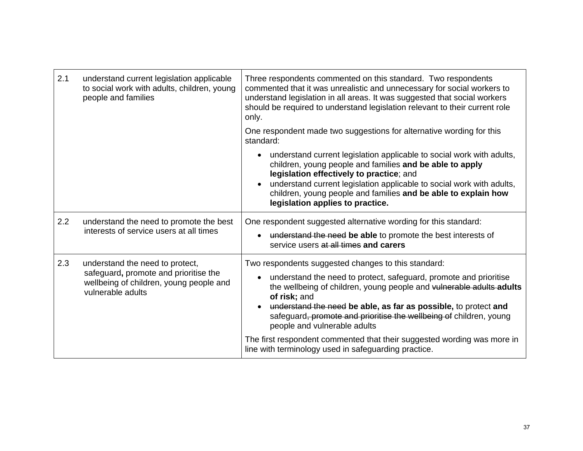| 2.1 | understand current legislation applicable<br>to social work with adults, children, young<br>people and families                          | Three respondents commented on this standard. Two respondents<br>commented that it was unrealistic and unnecessary for social workers to<br>understand legislation in all areas. It was suggested that social workers<br>should be required to understand legislation relevant to their current role<br>only.                                                                                                       |
|-----|------------------------------------------------------------------------------------------------------------------------------------------|---------------------------------------------------------------------------------------------------------------------------------------------------------------------------------------------------------------------------------------------------------------------------------------------------------------------------------------------------------------------------------------------------------------------|
|     |                                                                                                                                          | One respondent made two suggestions for alternative wording for this<br>standard:                                                                                                                                                                                                                                                                                                                                   |
|     |                                                                                                                                          | understand current legislation applicable to social work with adults,<br>$\bullet$<br>children, young people and families and be able to apply<br>legislation effectively to practice; and<br>understand current legislation applicable to social work with adults,<br>children, young people and families and be able to explain how<br>legislation applies to practice.                                           |
| 2.2 | understand the need to promote the best<br>interests of service users at all times                                                       | One respondent suggested alternative wording for this standard:<br>understand the need be able to promote the best interests of<br>service users at all times and carers                                                                                                                                                                                                                                            |
| 2.3 | understand the need to protect,<br>safeguard, promote and prioritise the<br>wellbeing of children, young people and<br>vulnerable adults | Two respondents suggested changes to this standard:<br>understand the need to protect, safeguard, promote and prioritise<br>$\bullet$<br>the wellbeing of children, young people and vulnerable adults adults<br>of risk; and<br>understand the need be able, as far as possible, to protect and<br>$\bullet$<br>safeguard, promote and prioritise the wellbeing of children, young<br>people and vulnerable adults |
|     |                                                                                                                                          | The first respondent commented that their suggested wording was more in<br>line with terminology used in safeguarding practice.                                                                                                                                                                                                                                                                                     |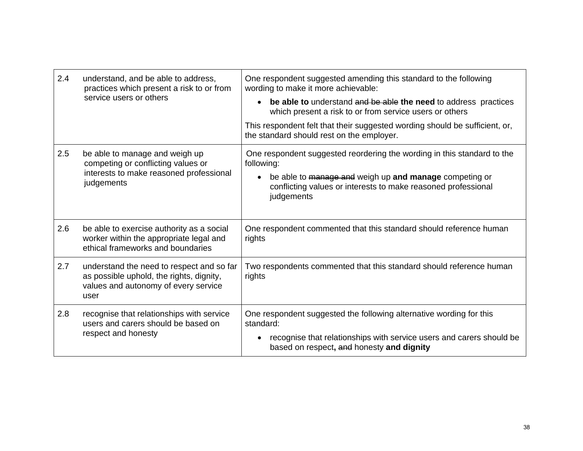| 2.4 | understand, and be able to address,<br>practices which present a risk to or from<br>service users or others                           | One respondent suggested amending this standard to the following<br>wording to make it more achievable:                                            |
|-----|---------------------------------------------------------------------------------------------------------------------------------------|----------------------------------------------------------------------------------------------------------------------------------------------------|
|     |                                                                                                                                       | be able to understand and be able the need to address practices<br>$\bullet$<br>which present a risk to or from service users or others            |
|     |                                                                                                                                       | This respondent felt that their suggested wording should be sufficient, or,<br>the standard should rest on the employer.                           |
| 2.5 | be able to manage and weigh up<br>competing or conflicting values or                                                                  | One respondent suggested reordering the wording in this standard to the<br>following:                                                              |
|     | interests to make reasoned professional<br>judgements                                                                                 | be able to manage and weigh up and manage competing or<br>$\bullet$<br>conflicting values or interests to make reasoned professional<br>judgements |
| 2.6 | be able to exercise authority as a social<br>worker within the appropriate legal and<br>ethical frameworks and boundaries             | One respondent commented that this standard should reference human<br>rights                                                                       |
| 2.7 | understand the need to respect and so far<br>as possible uphold, the rights, dignity,<br>values and autonomy of every service<br>user | Two respondents commented that this standard should reference human<br>rights                                                                      |
| 2.8 | recognise that relationships with service<br>users and carers should be based on                                                      | One respondent suggested the following alternative wording for this<br>standard:                                                                   |
|     | respect and honesty                                                                                                                   | recognise that relationships with service users and carers should be<br>$\bullet$<br>based on respect, and honesty and dignity                     |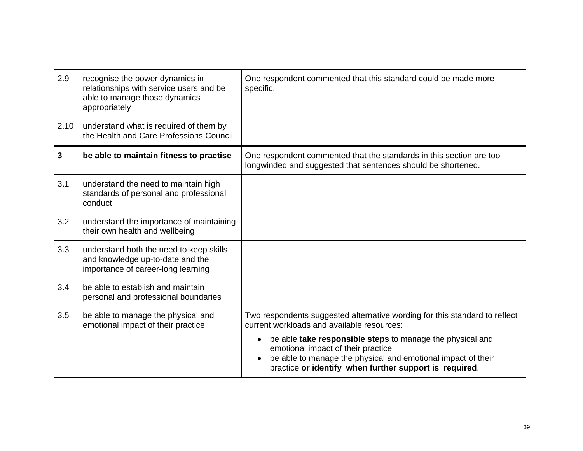| 2.9          | recognise the power dynamics in<br>relationships with service users and be<br>able to manage those dynamics<br>appropriately | One respondent commented that this standard could be made more<br>specific.                                                                                                                                                            |
|--------------|------------------------------------------------------------------------------------------------------------------------------|----------------------------------------------------------------------------------------------------------------------------------------------------------------------------------------------------------------------------------------|
| 2.10         | understand what is required of them by<br>the Health and Care Professions Council                                            |                                                                                                                                                                                                                                        |
| $\mathbf{3}$ | be able to maintain fitness to practise                                                                                      | One respondent commented that the standards in this section are too<br>longwinded and suggested that sentences should be shortened.                                                                                                    |
| 3.1          | understand the need to maintain high<br>standards of personal and professional<br>conduct                                    |                                                                                                                                                                                                                                        |
| 3.2          | understand the importance of maintaining<br>their own health and wellbeing                                                   |                                                                                                                                                                                                                                        |
| 3.3          | understand both the need to keep skills<br>and knowledge up-to-date and the<br>importance of career-long learning            |                                                                                                                                                                                                                                        |
| 3.4          | be able to establish and maintain<br>personal and professional boundaries                                                    |                                                                                                                                                                                                                                        |
| 3.5          | be able to manage the physical and<br>emotional impact of their practice                                                     | Two respondents suggested alternative wording for this standard to reflect<br>current workloads and available resources:                                                                                                               |
|              |                                                                                                                              | be able take responsible steps to manage the physical and<br>emotional impact of their practice<br>be able to manage the physical and emotional impact of their<br>$\bullet$<br>practice or identify when further support is required. |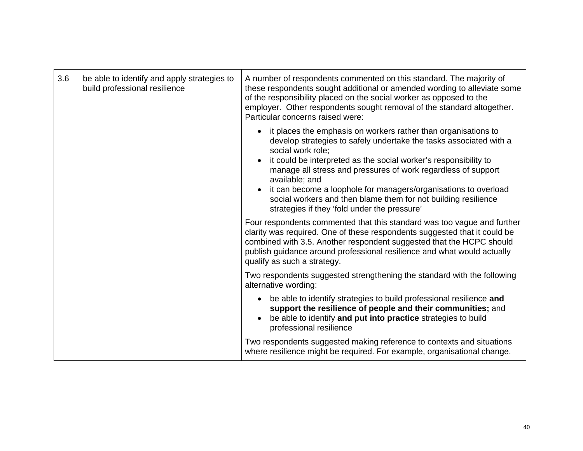| 3.6 | be able to identify and apply strategies to<br>build professional resilience | A number of respondents commented on this standard. The majority of<br>these respondents sought additional or amended wording to alleviate some<br>of the responsibility placed on the social worker as opposed to the<br>employer. Other respondents sought removal of the standard altogether.<br>Particular concerns raised were:                                                                                                                                                                               |
|-----|------------------------------------------------------------------------------|--------------------------------------------------------------------------------------------------------------------------------------------------------------------------------------------------------------------------------------------------------------------------------------------------------------------------------------------------------------------------------------------------------------------------------------------------------------------------------------------------------------------|
|     |                                                                              | it places the emphasis on workers rather than organisations to<br>develop strategies to safely undertake the tasks associated with a<br>social work role;<br>it could be interpreted as the social worker's responsibility to<br>$\bullet$<br>manage all stress and pressures of work regardless of support<br>available; and<br>it can become a loophole for managers/organisations to overload<br>social workers and then blame them for not building resilience<br>strategies if they 'fold under the pressure' |
|     |                                                                              | Four respondents commented that this standard was too vague and further<br>clarity was required. One of these respondents suggested that it could be<br>combined with 3.5. Another respondent suggested that the HCPC should<br>publish guidance around professional resilience and what would actually<br>qualify as such a strategy.                                                                                                                                                                             |
|     |                                                                              | Two respondents suggested strengthening the standard with the following<br>alternative wording:                                                                                                                                                                                                                                                                                                                                                                                                                    |
|     |                                                                              | be able to identify strategies to build professional resilience and<br>support the resilience of people and their communities; and<br>be able to identify and put into practice strategies to build<br>professional resilience                                                                                                                                                                                                                                                                                     |
|     |                                                                              | Two respondents suggested making reference to contexts and situations<br>where resilience might be required. For example, organisational change.                                                                                                                                                                                                                                                                                                                                                                   |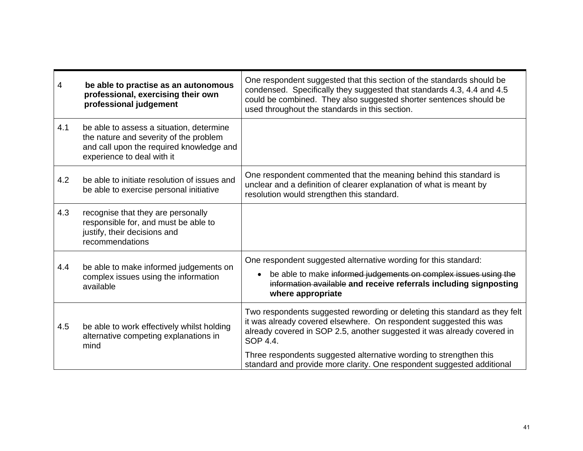| 4   | be able to practise as an autonomous<br>professional, exercising their own<br>professional judgement                                                         | One respondent suggested that this section of the standards should be<br>condensed. Specifically they suggested that standards 4.3, 4.4 and 4.5<br>could be combined. They also suggested shorter sentences should be<br>used throughout the standards in this section. |
|-----|--------------------------------------------------------------------------------------------------------------------------------------------------------------|-------------------------------------------------------------------------------------------------------------------------------------------------------------------------------------------------------------------------------------------------------------------------|
| 4.1 | be able to assess a situation, determine<br>the nature and severity of the problem<br>and call upon the required knowledge and<br>experience to deal with it |                                                                                                                                                                                                                                                                         |
| 4.2 | be able to initiate resolution of issues and<br>be able to exercise personal initiative                                                                      | One respondent commented that the meaning behind this standard is<br>unclear and a definition of clearer explanation of what is meant by<br>resolution would strengthen this standard.                                                                                  |
| 4.3 | recognise that they are personally<br>responsible for, and must be able to<br>justify, their decisions and<br>recommendations                                |                                                                                                                                                                                                                                                                         |
| 4.4 | be able to make informed judgements on<br>complex issues using the information<br>available                                                                  | One respondent suggested alternative wording for this standard:<br>be able to make informed judgements on complex issues using the<br>$\bullet$<br>information available and receive referrals including signposting<br>where appropriate                               |
| 4.5 | be able to work effectively whilst holding<br>alternative competing explanations in<br>mind                                                                  | Two respondents suggested rewording or deleting this standard as they felt<br>it was already covered elsewhere. On respondent suggested this was<br>already covered in SOP 2.5, another suggested it was already covered in<br>SOP 4.4.                                 |
|     |                                                                                                                                                              | Three respondents suggested alternative wording to strengthen this<br>standard and provide more clarity. One respondent suggested additional                                                                                                                            |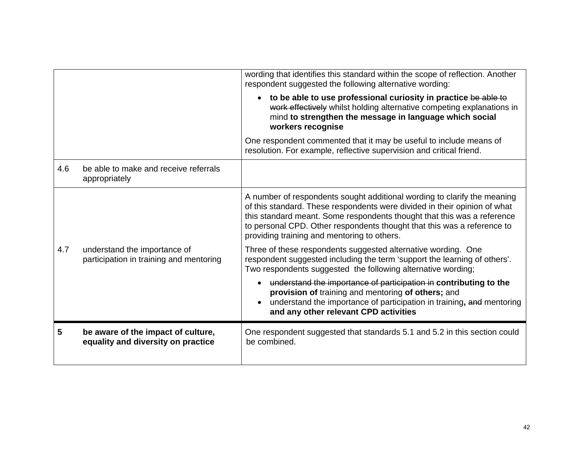|     |                                                                          | wording that identifies this standard within the scope of reflection. Another<br>respondent suggested the following alternative wording:                                                                                                                                                                                                                   |
|-----|--------------------------------------------------------------------------|------------------------------------------------------------------------------------------------------------------------------------------------------------------------------------------------------------------------------------------------------------------------------------------------------------------------------------------------------------|
|     |                                                                          | to be able to use professional curiosity in practice be able to<br>$\bullet$<br>work effectively whilst holding alternative competing explanations in<br>mind to strengthen the message in language which social<br>workers recognise                                                                                                                      |
|     |                                                                          | One respondent commented that it may be useful to include means of<br>resolution. For example, reflective supervision and critical friend.                                                                                                                                                                                                                 |
| 4.6 | be able to make and receive referrals<br>appropriately                   |                                                                                                                                                                                                                                                                                                                                                            |
|     |                                                                          | A number of respondents sought additional wording to clarify the meaning<br>of this standard. These respondents were divided in their opinion of what<br>this standard meant. Some respondents thought that this was a reference<br>to personal CPD. Other respondents thought that this was a reference to<br>providing training and mentoring to others. |
| 4.7 | understand the importance of<br>participation in training and mentoring  | Three of these respondents suggested alternative wording. One<br>respondent suggested including the term 'support the learning of others'.<br>Two respondents suggested the following alternative wording;                                                                                                                                                 |
|     |                                                                          | understand the importance of participation in contributing to the<br>provision of training and mentoring of others; and<br>understand the importance of participation in training, and mentoring<br>and any other relevant CPD activities                                                                                                                  |
| 5   | be aware of the impact of culture,<br>equality and diversity on practice | One respondent suggested that standards 5.1 and 5.2 in this section could<br>be combined.                                                                                                                                                                                                                                                                  |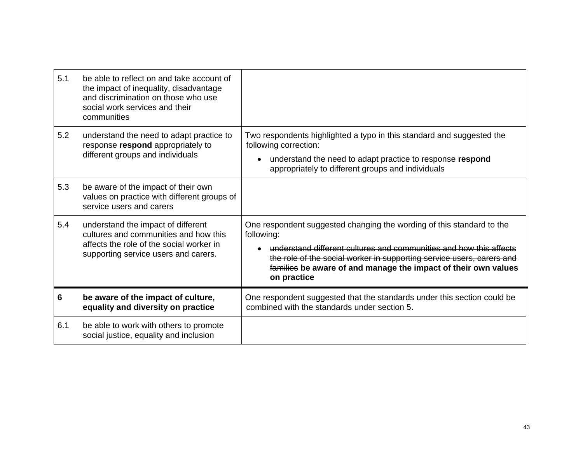| 5.1 | be able to reflect on and take account of<br>the impact of inequality, disadvantage<br>and discrimination on those who use<br>social work services and their<br>communities |                                                                                                                                                                                                                                                                                                                     |
|-----|-----------------------------------------------------------------------------------------------------------------------------------------------------------------------------|---------------------------------------------------------------------------------------------------------------------------------------------------------------------------------------------------------------------------------------------------------------------------------------------------------------------|
| 5.2 | understand the need to adapt practice to<br>response respond appropriately to<br>different groups and individuals                                                           | Two respondents highlighted a typo in this standard and suggested the<br>following correction:<br>understand the need to adapt practice to response respond<br>$\bullet$<br>appropriately to different groups and individuals                                                                                       |
| 5.3 | be aware of the impact of their own<br>values on practice with different groups of<br>service users and carers                                                              |                                                                                                                                                                                                                                                                                                                     |
| 5.4 | understand the impact of different<br>cultures and communities and how this<br>affects the role of the social worker in<br>supporting service users and carers.             | One respondent suggested changing the wording of this standard to the<br>following:<br>understand different cultures and communities and how this affects<br>the role of the social worker in supporting service users, carers and<br>families be aware of and manage the impact of their own values<br>on practice |
| 6   | be aware of the impact of culture,<br>equality and diversity on practice                                                                                                    | One respondent suggested that the standards under this section could be<br>combined with the standards under section 5.                                                                                                                                                                                             |
| 6.1 | be able to work with others to promote<br>social justice, equality and inclusion                                                                                            |                                                                                                                                                                                                                                                                                                                     |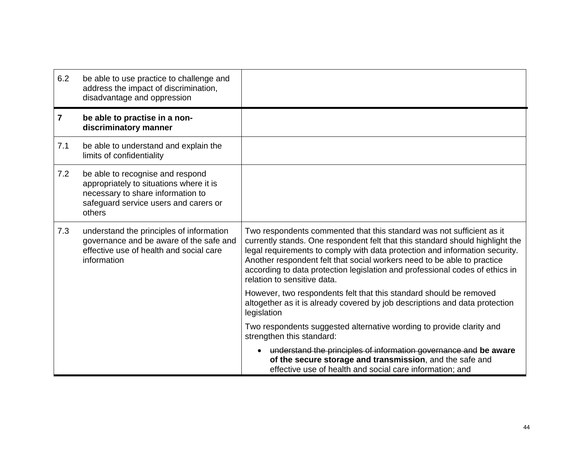| 6.2            | be able to use practice to challenge and<br>address the impact of discrimination,<br>disadvantage and oppression                                                    |                                                                                                                                                                                                                                                                                                                                                                                                                                 |
|----------------|---------------------------------------------------------------------------------------------------------------------------------------------------------------------|---------------------------------------------------------------------------------------------------------------------------------------------------------------------------------------------------------------------------------------------------------------------------------------------------------------------------------------------------------------------------------------------------------------------------------|
| $\overline{7}$ | be able to practise in a non-<br>discriminatory manner                                                                                                              |                                                                                                                                                                                                                                                                                                                                                                                                                                 |
| 7.1            | be able to understand and explain the<br>limits of confidentiality                                                                                                  |                                                                                                                                                                                                                                                                                                                                                                                                                                 |
| 7.2            | be able to recognise and respond<br>appropriately to situations where it is<br>necessary to share information to<br>safeguard service users and carers or<br>others |                                                                                                                                                                                                                                                                                                                                                                                                                                 |
| 7.3            | understand the principles of information<br>governance and be aware of the safe and<br>effective use of health and social care<br>information                       | Two respondents commented that this standard was not sufficient as it<br>currently stands. One respondent felt that this standard should highlight the<br>legal requirements to comply with data protection and information security.<br>Another respondent felt that social workers need to be able to practice<br>according to data protection legislation and professional codes of ethics in<br>relation to sensitive data. |
|                |                                                                                                                                                                     | However, two respondents felt that this standard should be removed<br>altogether as it is already covered by job descriptions and data protection<br>legislation                                                                                                                                                                                                                                                                |
|                |                                                                                                                                                                     | Two respondents suggested alternative wording to provide clarity and<br>strengthen this standard:                                                                                                                                                                                                                                                                                                                               |
|                |                                                                                                                                                                     | understand the principles of information governance and be aware<br>of the secure storage and transmission, and the safe and<br>effective use of health and social care information; and                                                                                                                                                                                                                                        |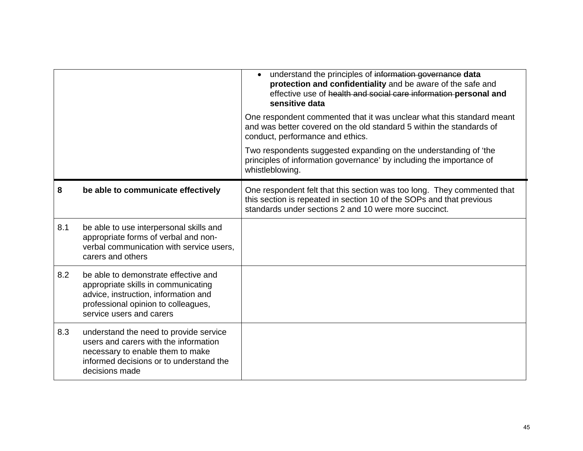|     |                                                                                                                                                                                        | understand the principles of information governance data<br>$\bullet$<br>protection and confidentiality and be aware of the safe and<br>effective use of health and social care information personal and<br>sensitive data |
|-----|----------------------------------------------------------------------------------------------------------------------------------------------------------------------------------------|----------------------------------------------------------------------------------------------------------------------------------------------------------------------------------------------------------------------------|
|     |                                                                                                                                                                                        | One respondent commented that it was unclear what this standard meant<br>and was better covered on the old standard 5 within the standards of<br>conduct, performance and ethics.                                          |
|     |                                                                                                                                                                                        | Two respondents suggested expanding on the understanding of 'the<br>principles of information governance' by including the importance of<br>whistleblowing.                                                                |
| 8   | be able to communicate effectively                                                                                                                                                     | One respondent felt that this section was too long. They commented that<br>this section is repeated in section 10 of the SOPs and that previous<br>standards under sections 2 and 10 were more succinct.                   |
| 8.1 | be able to use interpersonal skills and<br>appropriate forms of verbal and non-<br>verbal communication with service users,<br>carers and others                                       |                                                                                                                                                                                                                            |
| 8.2 | be able to demonstrate effective and<br>appropriate skills in communicating<br>advice, instruction, information and<br>professional opinion to colleagues,<br>service users and carers |                                                                                                                                                                                                                            |
| 8.3 | understand the need to provide service<br>users and carers with the information<br>necessary to enable them to make<br>informed decisions or to understand the<br>decisions made       |                                                                                                                                                                                                                            |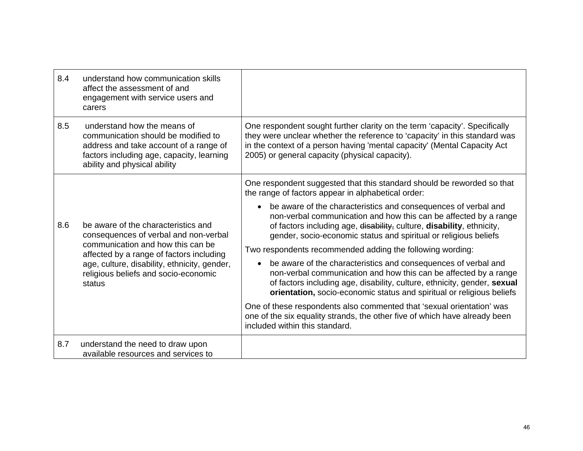| 8.4 | understand how communication skills<br>affect the assessment of and<br>engagement with service users and<br>carers                                                                                                                                              |                                                                                                                                                                                                                                                                                              |
|-----|-----------------------------------------------------------------------------------------------------------------------------------------------------------------------------------------------------------------------------------------------------------------|----------------------------------------------------------------------------------------------------------------------------------------------------------------------------------------------------------------------------------------------------------------------------------------------|
| 8.5 | understand how the means of<br>communication should be modified to<br>address and take account of a range of<br>factors including age, capacity, learning<br>ability and physical ability                                                                       | One respondent sought further clarity on the term 'capacity'. Specifically<br>they were unclear whether the reference to 'capacity' in this standard was<br>in the context of a person having 'mental capacity' (Mental Capacity Act<br>2005) or general capacity (physical capacity).       |
|     |                                                                                                                                                                                                                                                                 | One respondent suggested that this standard should be reworded so that<br>the range of factors appear in alphabetical order:                                                                                                                                                                 |
| 8.6 | be aware of the characteristics and<br>consequences of verbal and non-verbal<br>communication and how this can be<br>affected by a range of factors including<br>age, culture, disability, ethnicity, gender,<br>religious beliefs and socio-economic<br>status | be aware of the characteristics and consequences of verbal and<br>$\bullet$<br>non-verbal communication and how this can be affected by a range<br>of factors including age, disability, culture, disability, ethnicity,<br>gender, socio-economic status and spiritual or religious beliefs |
|     |                                                                                                                                                                                                                                                                 | Two respondents recommended adding the following wording:                                                                                                                                                                                                                                    |
|     |                                                                                                                                                                                                                                                                 | be aware of the characteristics and consequences of verbal and<br>non-verbal communication and how this can be affected by a range<br>of factors including age, disability, culture, ethnicity, gender, sexual<br>orientation, socio-economic status and spiritual or religious beliefs      |
|     |                                                                                                                                                                                                                                                                 | One of these respondents also commented that 'sexual orientation' was<br>one of the six equality strands, the other five of which have already been<br>included within this standard.                                                                                                        |
| 8.7 | understand the need to draw upon<br>available resources and services to                                                                                                                                                                                         |                                                                                                                                                                                                                                                                                              |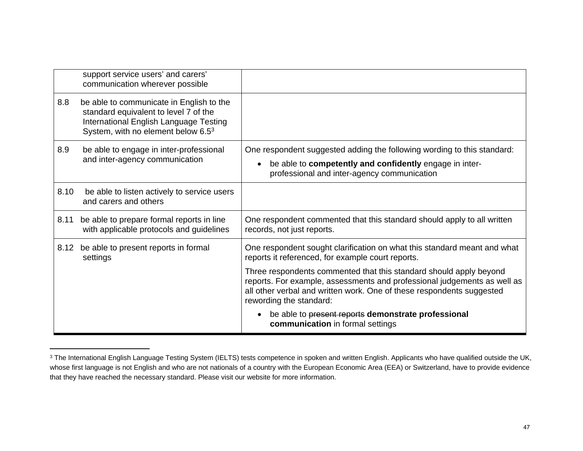|      | support service users' and carers'<br>communication wherever possible                                                                                             |                                                                                                                                                                                                                                                    |
|------|-------------------------------------------------------------------------------------------------------------------------------------------------------------------|----------------------------------------------------------------------------------------------------------------------------------------------------------------------------------------------------------------------------------------------------|
| 8.8  | be able to communicate in English to the<br>standard equivalent to level 7 of the<br>International English Language Testing<br>System, with no element below 6.53 |                                                                                                                                                                                                                                                    |
| 8.9  | be able to engage in inter-professional<br>and inter-agency communication                                                                                         | One respondent suggested adding the following wording to this standard:<br>be able to competently and confidently engage in inter-<br>professional and inter-agency communication                                                                  |
| 8.10 | be able to listen actively to service users<br>and carers and others                                                                                              |                                                                                                                                                                                                                                                    |
| 8.11 | be able to prepare formal reports in line<br>with applicable protocols and guidelines                                                                             | One respondent commented that this standard should apply to all written<br>records, not just reports.                                                                                                                                              |
| 8.12 | be able to present reports in formal<br>settings                                                                                                                  | One respondent sought clarification on what this standard meant and what<br>reports it referenced, for example court reports.                                                                                                                      |
|      |                                                                                                                                                                   | Three respondents commented that this standard should apply beyond<br>reports. For example, assessments and professional judgements as well as<br>all other verbal and written work. One of these respondents suggested<br>rewording the standard: |
|      |                                                                                                                                                                   | be able to present reports demonstrate professional<br>$\bullet$<br>communication in formal settings                                                                                                                                               |

<sup>&</sup>lt;sup>3</sup> The International English Language Testing System (IELTS) tests competence in spoken and written English. Applicants who have qualified outside the UK, whose first language is not English and who are not nationals of a country with the European Economic Area (EEA) or Switzerland, have to provide evidence that they have reached the necessary standard. Please visit our website for more information.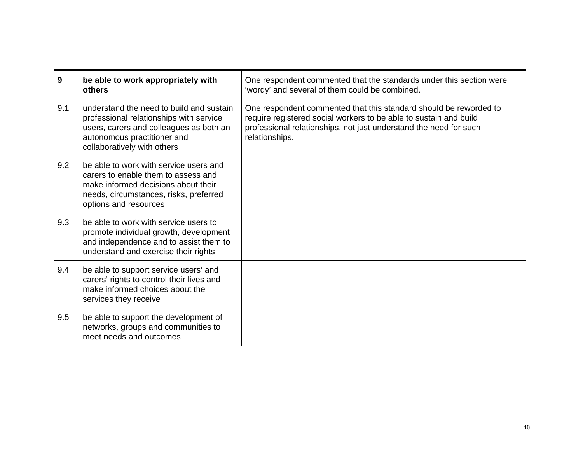| 9   | be able to work appropriately with<br>others                                                                                                                                                 | One respondent commented that the standards under this section were<br>'wordy' and several of them could be combined.                                                                                                         |
|-----|----------------------------------------------------------------------------------------------------------------------------------------------------------------------------------------------|-------------------------------------------------------------------------------------------------------------------------------------------------------------------------------------------------------------------------------|
| 9.1 | understand the need to build and sustain<br>professional relationships with service<br>users, carers and colleagues as both an<br>autonomous practitioner and<br>collaboratively with others | One respondent commented that this standard should be reworded to<br>require registered social workers to be able to sustain and build<br>professional relationships, not just understand the need for such<br>relationships. |
| 9.2 | be able to work with service users and<br>carers to enable them to assess and<br>make informed decisions about their<br>needs, circumstances, risks, preferred<br>options and resources      |                                                                                                                                                                                                                               |
| 9.3 | be able to work with service users to<br>promote individual growth, development<br>and independence and to assist them to<br>understand and exercise their rights                            |                                                                                                                                                                                                                               |
| 9.4 | be able to support service users' and<br>carers' rights to control their lives and<br>make informed choices about the<br>services they receive                                               |                                                                                                                                                                                                                               |
| 9.5 | be able to support the development of<br>networks, groups and communities to<br>meet needs and outcomes                                                                                      |                                                                                                                                                                                                                               |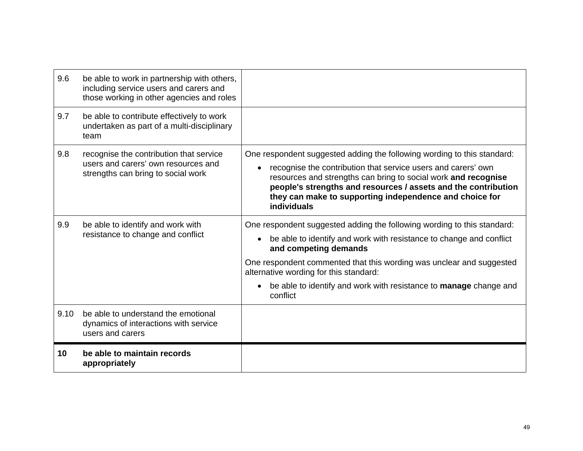| 9.10 | be able to understand the emotional<br>dynamics of interactions with service<br>users and carers                                   | conflict                                                                                                                                                                                                                                                                                                                                                            |
|------|------------------------------------------------------------------------------------------------------------------------------------|---------------------------------------------------------------------------------------------------------------------------------------------------------------------------------------------------------------------------------------------------------------------------------------------------------------------------------------------------------------------|
|      |                                                                                                                                    | One respondent commented that this wording was unclear and suggested<br>alternative wording for this standard:<br>be able to identify and work with resistance to manage change and<br>$\bullet$                                                                                                                                                                    |
| 9.9  | be able to identify and work with<br>resistance to change and conflict                                                             | One respondent suggested adding the following wording to this standard:<br>be able to identify and work with resistance to change and conflict<br>$\bullet$<br>and competing demands                                                                                                                                                                                |
| 9.8  | recognise the contribution that service<br>users and carers' own resources and<br>strengths can bring to social work               | One respondent suggested adding the following wording to this standard:<br>recognise the contribution that service users and carers' own<br>$\bullet$<br>resources and strengths can bring to social work and recognise<br>people's strengths and resources / assets and the contribution<br>they can make to supporting independence and choice for<br>individuals |
| 9.7  | be able to contribute effectively to work<br>undertaken as part of a multi-disciplinary<br>team                                    |                                                                                                                                                                                                                                                                                                                                                                     |
| 9.6  | be able to work in partnership with others,<br>including service users and carers and<br>those working in other agencies and roles |                                                                                                                                                                                                                                                                                                                                                                     |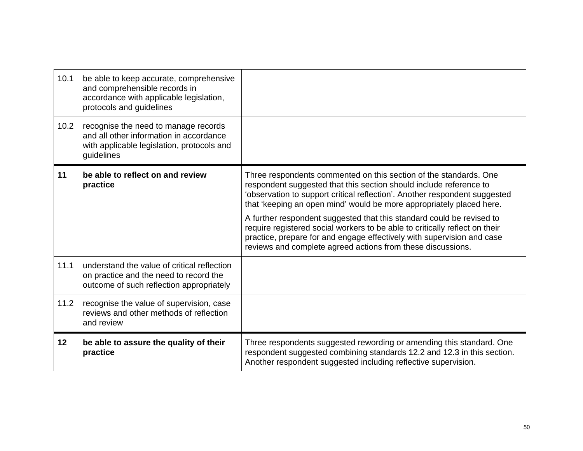| 10.1            | be able to keep accurate, comprehensive<br>and comprehensible records in<br>accordance with applicable legislation,<br>protocols and guidelines |                                                                                                                                                                                                                                                                                               |
|-----------------|-------------------------------------------------------------------------------------------------------------------------------------------------|-----------------------------------------------------------------------------------------------------------------------------------------------------------------------------------------------------------------------------------------------------------------------------------------------|
| 10.2            | recognise the need to manage records<br>and all other information in accordance<br>with applicable legislation, protocols and<br>guidelines     |                                                                                                                                                                                                                                                                                               |
| 11              | be able to reflect on and review<br>practice                                                                                                    | Three respondents commented on this section of the standards. One<br>respondent suggested that this section should include reference to<br>'observation to support critical reflection'. Another respondent suggested<br>that 'keeping an open mind' would be more appropriately placed here. |
|                 |                                                                                                                                                 | A further respondent suggested that this standard could be revised to<br>require registered social workers to be able to critically reflect on their<br>practice, prepare for and engage effectively with supervision and case<br>reviews and complete agreed actions from these discussions. |
| 11.1            | understand the value of critical reflection<br>on practice and the need to record the<br>outcome of such reflection appropriately               |                                                                                                                                                                                                                                                                                               |
| 11.2            | recognise the value of supervision, case<br>reviews and other methods of reflection<br>and review                                               |                                                                                                                                                                                                                                                                                               |
| 12 <sup>2</sup> | be able to assure the quality of their<br>practice                                                                                              | Three respondents suggested rewording or amending this standard. One<br>respondent suggested combining standards 12.2 and 12.3 in this section.<br>Another respondent suggested including reflective supervision.                                                                             |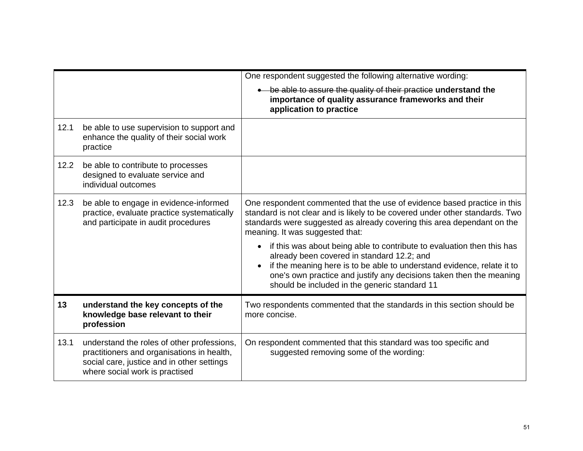|      |                                                                                                                                                                          | One respondent suggested the following alternative wording:                                                                                                                                                                                                                                                                                                                                                 |
|------|--------------------------------------------------------------------------------------------------------------------------------------------------------------------------|-------------------------------------------------------------------------------------------------------------------------------------------------------------------------------------------------------------------------------------------------------------------------------------------------------------------------------------------------------------------------------------------------------------|
|      |                                                                                                                                                                          | . be able to assure the quality of their practice understand the<br>importance of quality assurance frameworks and their<br>application to practice                                                                                                                                                                                                                                                         |
| 12.1 | be able to use supervision to support and<br>enhance the quality of their social work<br>practice                                                                        |                                                                                                                                                                                                                                                                                                                                                                                                             |
| 12.2 | be able to contribute to processes<br>designed to evaluate service and<br>individual outcomes                                                                            |                                                                                                                                                                                                                                                                                                                                                                                                             |
| 12.3 | be able to engage in evidence-informed<br>practice, evaluate practice systematically<br>and participate in audit procedures                                              | One respondent commented that the use of evidence based practice in this<br>standard is not clear and is likely to be covered under other standards. Two<br>standards were suggested as already covering this area dependant on the<br>meaning. It was suggested that:<br>if this was about being able to contribute to evaluation then this has<br>$\bullet$<br>already been covered in standard 12.2; and |
|      |                                                                                                                                                                          | if the meaning here is to be able to understand evidence, relate it to<br>$\bullet$<br>one's own practice and justify any decisions taken then the meaning<br>should be included in the generic standard 11                                                                                                                                                                                                 |
| 13   | understand the key concepts of the<br>knowledge base relevant to their<br>profession                                                                                     | Two respondents commented that the standards in this section should be<br>more concise.                                                                                                                                                                                                                                                                                                                     |
| 13.1 | understand the roles of other professions,<br>practitioners and organisations in health,<br>social care, justice and in other settings<br>where social work is practised | On respondent commented that this standard was too specific and<br>suggested removing some of the wording:                                                                                                                                                                                                                                                                                                  |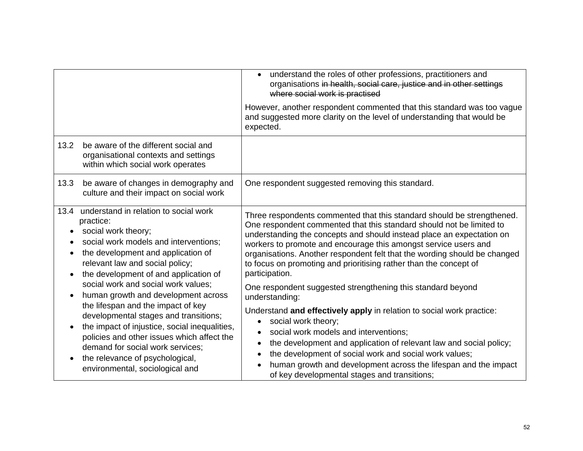|                                                                                                                                                                                                                                                                                                                                                                                                                                                                                                                                                                                                                                                                        | understand the roles of other professions, practitioners and<br>$\bullet$<br>organisations in health, social care, justice and in other settings<br>where social work is practised                                                                                                                                                                                                                                                                                                                                                                                                                                                                                                                                                                                                                                                                                                                                                                                                                           |
|------------------------------------------------------------------------------------------------------------------------------------------------------------------------------------------------------------------------------------------------------------------------------------------------------------------------------------------------------------------------------------------------------------------------------------------------------------------------------------------------------------------------------------------------------------------------------------------------------------------------------------------------------------------------|--------------------------------------------------------------------------------------------------------------------------------------------------------------------------------------------------------------------------------------------------------------------------------------------------------------------------------------------------------------------------------------------------------------------------------------------------------------------------------------------------------------------------------------------------------------------------------------------------------------------------------------------------------------------------------------------------------------------------------------------------------------------------------------------------------------------------------------------------------------------------------------------------------------------------------------------------------------------------------------------------------------|
|                                                                                                                                                                                                                                                                                                                                                                                                                                                                                                                                                                                                                                                                        | However, another respondent commented that this standard was too vague<br>and suggested more clarity on the level of understanding that would be<br>expected.                                                                                                                                                                                                                                                                                                                                                                                                                                                                                                                                                                                                                                                                                                                                                                                                                                                |
| 13.2<br>be aware of the different social and<br>organisational contexts and settings<br>within which social work operates                                                                                                                                                                                                                                                                                                                                                                                                                                                                                                                                              |                                                                                                                                                                                                                                                                                                                                                                                                                                                                                                                                                                                                                                                                                                                                                                                                                                                                                                                                                                                                              |
| be aware of changes in demography and<br>13.3<br>culture and their impact on social work                                                                                                                                                                                                                                                                                                                                                                                                                                                                                                                                                                               | One respondent suggested removing this standard.                                                                                                                                                                                                                                                                                                                                                                                                                                                                                                                                                                                                                                                                                                                                                                                                                                                                                                                                                             |
| understand in relation to social work<br>13.4<br>practice:<br>social work theory;<br>social work models and interventions;<br>$\bullet$<br>the development and application of<br>$\bullet$<br>relevant law and social policy;<br>the development of and application of<br>$\bullet$<br>social work and social work values;<br>human growth and development across<br>$\bullet$<br>the lifespan and the impact of key<br>developmental stages and transitions;<br>the impact of injustice, social inequalities,<br>policies and other issues which affect the<br>demand for social work services;<br>the relevance of psychological,<br>environmental, sociological and | Three respondents commented that this standard should be strengthened.<br>One respondent commented that this standard should not be limited to<br>understanding the concepts and should instead place an expectation on<br>workers to promote and encourage this amongst service users and<br>organisations. Another respondent felt that the wording should be changed<br>to focus on promoting and prioritising rather than the concept of<br>participation.<br>One respondent suggested strengthening this standard beyond<br>understanding:<br>Understand and effectively apply in relation to social work practice:<br>social work theory;<br>$\bullet$<br>social work models and interventions;<br>$\bullet$<br>the development and application of relevant law and social policy;<br>$\bullet$<br>the development of social work and social work values;<br>$\bullet$<br>human growth and development across the lifespan and the impact<br>$\bullet$<br>of key developmental stages and transitions; |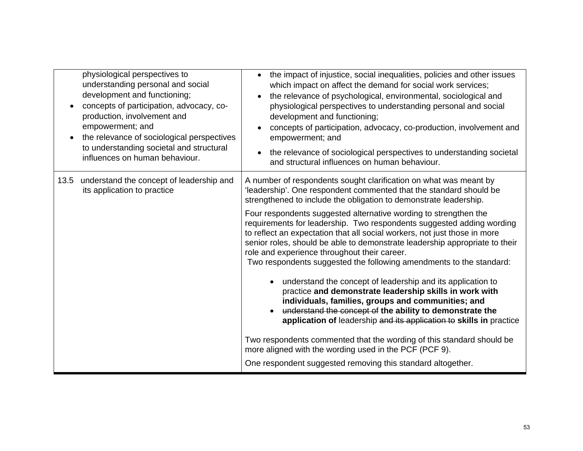| physiological perspectives to<br>understanding personal and social<br>development and functioning;<br>concepts of participation, advocacy, co-<br>production, involvement and<br>empowerment; and<br>the relevance of sociological perspectives<br>to understanding societal and structural<br>influences on human behaviour. | the impact of injustice, social inequalities, policies and other issues<br>which impact on affect the demand for social work services;<br>the relevance of psychological, environmental, sociological and<br>$\bullet$<br>physiological perspectives to understanding personal and social<br>development and functioning;<br>concepts of participation, advocacy, co-production, involvement and<br>$\bullet$<br>empowerment; and<br>the relevance of sociological perspectives to understanding societal<br>and structural influences on human behaviour.                                                                                                                                                                                                                                                                                                                                                                                                                                                                                                                                                                                                                     |
|-------------------------------------------------------------------------------------------------------------------------------------------------------------------------------------------------------------------------------------------------------------------------------------------------------------------------------|--------------------------------------------------------------------------------------------------------------------------------------------------------------------------------------------------------------------------------------------------------------------------------------------------------------------------------------------------------------------------------------------------------------------------------------------------------------------------------------------------------------------------------------------------------------------------------------------------------------------------------------------------------------------------------------------------------------------------------------------------------------------------------------------------------------------------------------------------------------------------------------------------------------------------------------------------------------------------------------------------------------------------------------------------------------------------------------------------------------------------------------------------------------------------------|
| understand the concept of leadership and<br>13.5<br>its application to practice                                                                                                                                                                                                                                               | A number of respondents sought clarification on what was meant by<br>'leadership'. One respondent commented that the standard should be<br>strengthened to include the obligation to demonstrate leadership.<br>Four respondents suggested alternative wording to strengthen the<br>requirements for leadership. Two respondents suggested adding wording<br>to reflect an expectation that all social workers, not just those in more<br>senior roles, should be able to demonstrate leadership appropriate to their<br>role and experience throughout their career.<br>Two respondents suggested the following amendments to the standard:<br>understand the concept of leadership and its application to<br>$\bullet$<br>practice and demonstrate leadership skills in work with<br>individuals, families, groups and communities; and<br>understand the concept of the ability to demonstrate the<br>application of leadership and its application to skills in practice<br>Two respondents commented that the wording of this standard should be<br>more aligned with the wording used in the PCF (PCF 9).<br>One respondent suggested removing this standard altogether. |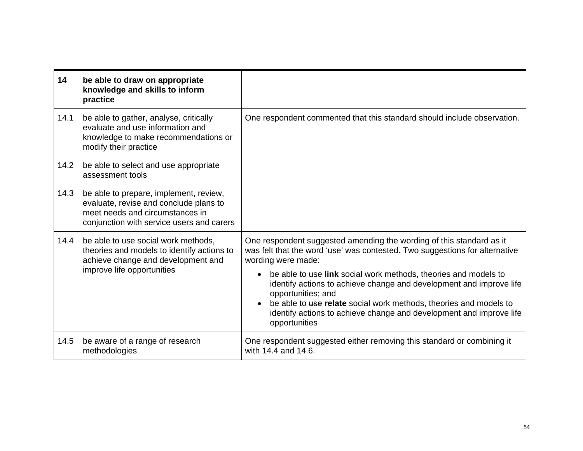| 14   | be able to draw on appropriate<br>knowledge and skills to inform<br>practice                                                                                     |                                                                                                                                                                                                                                                                                                                                                                                                                                                                                                                     |
|------|------------------------------------------------------------------------------------------------------------------------------------------------------------------|---------------------------------------------------------------------------------------------------------------------------------------------------------------------------------------------------------------------------------------------------------------------------------------------------------------------------------------------------------------------------------------------------------------------------------------------------------------------------------------------------------------------|
| 14.1 | be able to gather, analyse, critically<br>evaluate and use information and<br>knowledge to make recommendations or<br>modify their practice                      | One respondent commented that this standard should include observation.                                                                                                                                                                                                                                                                                                                                                                                                                                             |
| 14.2 | be able to select and use appropriate<br>assessment tools                                                                                                        |                                                                                                                                                                                                                                                                                                                                                                                                                                                                                                                     |
| 14.3 | be able to prepare, implement, review,<br>evaluate, revise and conclude plans to<br>meet needs and circumstances in<br>conjunction with service users and carers |                                                                                                                                                                                                                                                                                                                                                                                                                                                                                                                     |
| 14.4 | be able to use social work methods,<br>theories and models to identify actions to<br>achieve change and development and<br>improve life opportunities            | One respondent suggested amending the wording of this standard as it<br>was felt that the word 'use' was contested. Two suggestions for alternative<br>wording were made:<br>be able to use link social work methods, theories and models to<br>$\bullet$<br>identify actions to achieve change and development and improve life<br>opportunities; and<br>be able to use relate social work methods, theories and models to<br>identify actions to achieve change and development and improve life<br>opportunities |
| 14.5 | be aware of a range of research<br>methodologies                                                                                                                 | One respondent suggested either removing this standard or combining it<br>with 14.4 and 14.6.                                                                                                                                                                                                                                                                                                                                                                                                                       |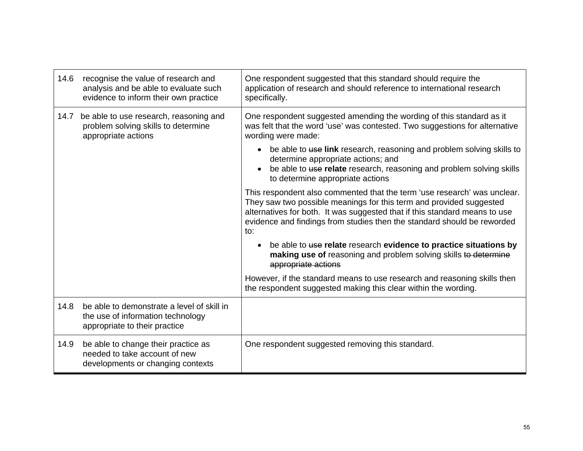| 14.6 | recognise the value of research and<br>analysis and be able to evaluate such<br>evidence to inform their own practice | One respondent suggested that this standard should require the<br>application of research and should reference to international research<br>specifically.                                                                                                                                                       |
|------|-----------------------------------------------------------------------------------------------------------------------|-----------------------------------------------------------------------------------------------------------------------------------------------------------------------------------------------------------------------------------------------------------------------------------------------------------------|
| 14.7 | be able to use research, reasoning and<br>problem solving skills to determine<br>appropriate actions                  | One respondent suggested amending the wording of this standard as it<br>was felt that the word 'use' was contested. Two suggestions for alternative<br>wording were made:                                                                                                                                       |
|      |                                                                                                                       | be able to use link research, reasoning and problem solving skills to<br>determine appropriate actions; and<br>be able to use relate research, reasoning and problem solving skills<br>to determine appropriate actions                                                                                         |
|      |                                                                                                                       | This respondent also commented that the term 'use research' was unclear.<br>They saw two possible meanings for this term and provided suggested<br>alternatives for both. It was suggested that if this standard means to use<br>evidence and findings from studies then the standard should be reworded<br>to: |
|      |                                                                                                                       | be able to use relate research evidence to practice situations by<br>$\bullet$<br>making use of reasoning and problem solving skills to determine<br>appropriate actions                                                                                                                                        |
|      |                                                                                                                       | However, if the standard means to use research and reasoning skills then<br>the respondent suggested making this clear within the wording.                                                                                                                                                                      |
| 14.8 | be able to demonstrate a level of skill in<br>the use of information technology<br>appropriate to their practice      |                                                                                                                                                                                                                                                                                                                 |
| 14.9 | be able to change their practice as<br>needed to take account of new<br>developments or changing contexts             | One respondent suggested removing this standard.                                                                                                                                                                                                                                                                |